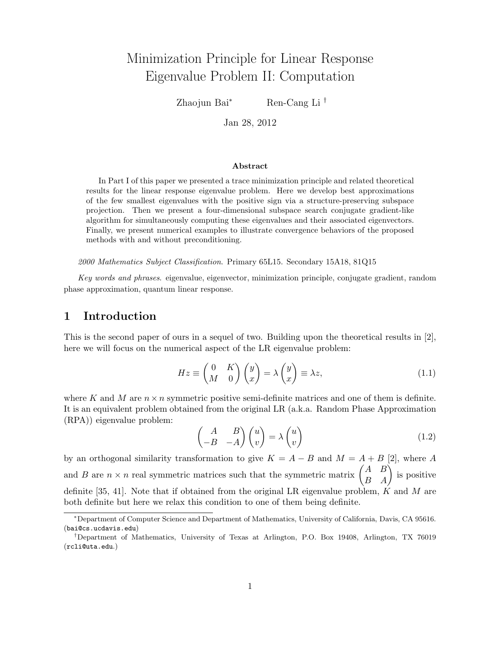# Minimization Principle for Linear Response Eigenvalue Problem II: Computation

Zhaojun Bai<sup>∗</sup> Ren-Cang Li †

Jan 28, 2012

#### Abstract

In Part I of this paper we presented a trace minimization principle and related theoretical results for the linear response eigenvalue problem. Here we develop best approximations of the few smallest eigenvalues with the positive sign via a structure-preserving subspace projection. Then we present a four-dimensional subspace search conjugate gradient-like algorithm for simultaneously computing these eigenvalues and their associated eigenvectors. Finally, we present numerical examples to illustrate convergence behaviors of the proposed methods with and without preconditioning.

2000 Mathematics Subject Classification. Primary 65L15. Secondary 15A18, 81Q15

Key words and phrases. eigenvalue, eigenvector, minimization principle, conjugate gradient, random phase approximation, quantum linear response.

### 1 Introduction

This is the second paper of ours in a sequel of two. Building upon the theoretical results in [2], here we will focus on the numerical aspect of the LR eigenvalue problem:

$$
Hz \equiv \begin{pmatrix} 0 & K \\ M & 0 \end{pmatrix} \begin{pmatrix} y \\ x \end{pmatrix} = \lambda \begin{pmatrix} y \\ x \end{pmatrix} \equiv \lambda z, \tag{1.1}
$$

where K and M are  $n \times n$  symmetric positive semi-definite matrices and one of them is definite. It is an equivalent problem obtained from the original LR (a.k.a. Random Phase Approximation (RPA)) eigenvalue problem:

$$
\begin{pmatrix} A & B \ -B & -A \end{pmatrix} \begin{pmatrix} u \ v \end{pmatrix} = \lambda \begin{pmatrix} u \ v \end{pmatrix}
$$
 (1.2)

by an orthogonal similarity transformation to give  $K = A - B$  and  $M = A + B$  [2], where A and B are  $n \times n$  real symmetric matrices such that the symmetric matrix  $\begin{pmatrix} A & B \\ B & A \end{pmatrix}$  is positive definite [35, 41]. Note that if obtained from the original LR eigenvalue problem,  $K$  and  $M$  are both definite but here we relax this condition to one of them being definite.

<sup>∗</sup>Department of Computer Science and Department of Mathematics, University of California, Davis, CA 95616. (bai@cs.ucdavis.edu)

<sup>†</sup>Department of Mathematics, University of Texas at Arlington, P.O. Box 19408, Arlington, TX 76019 (rcli@uta.edu.)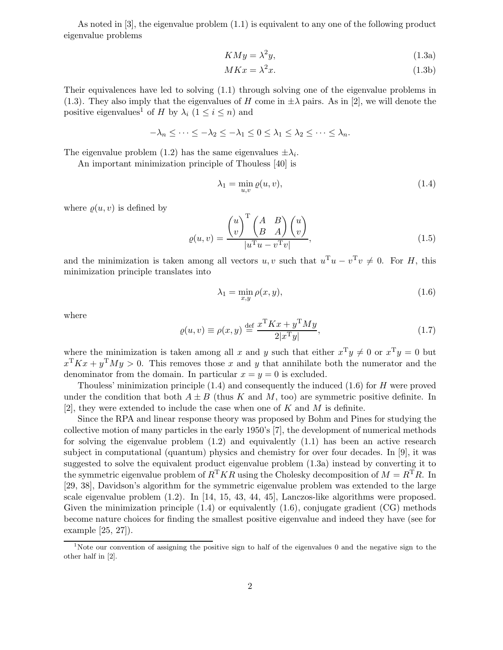As noted in [3], the eigenvalue problem (1.1) is equivalent to any one of the following product eigenvalue problems

$$
KMy = \lambda^2 y,\tag{1.3a}
$$

$$
MKx = \lambda^2 x. \tag{1.3b}
$$

Their equivalences have led to solving (1.1) through solving one of the eigenvalue problems in (1.3). They also imply that the eigenvalues of H come in  $\pm \lambda$  pairs. As in [2], we will denote the positive eigenvalues<sup>1</sup> of H by  $\lambda_i$  ( $1 \leq i \leq n$ ) and

$$
-\lambda_n \leq \cdots \leq -\lambda_2 \leq -\lambda_1 \leq 0 \leq \lambda_1 \leq \lambda_2 \leq \cdots \leq \lambda_n.
$$

The eigenvalue problem (1.2) has the same eigenvalues  $\pm \lambda_i$ .

An important minimization principle of Thouless [40] is

$$
\lambda_1 = \min_{u,v} \varrho(u,v),\tag{1.4}
$$

where  $\rho(u, v)$  is defined by

$$
\varrho(u,v) = \frac{\begin{pmatrix} u \\ v \end{pmatrix}^{\mathrm{T}} \begin{pmatrix} A & B \\ B & A \end{pmatrix} \begin{pmatrix} u \\ v \end{pmatrix}}{|u^{\mathrm{T}}u - v^{\mathrm{T}}v|},\tag{1.5}
$$

and the minimization is taken among all vectors  $u, v$  such that  $u^T u - v^T v \neq 0$ . For H, this minimization principle translates into

$$
\lambda_1 = \min_{x,y} \rho(x,y),\tag{1.6}
$$

where

$$
\varrho(u,v) \equiv \rho(x,y) \stackrel{\text{def}}{=} \frac{x^{\text{T}} K x + y^{\text{T}} M y}{2|x^{\text{T}} y|},\tag{1.7}
$$

where the minimization is taken among all x and y such that either  $x^Ty \neq 0$  or  $x^Ty = 0$  but  $x^{\mathrm{T}}Kx + y^{\mathrm{T}}My > 0$ . This removes those x and y that annihilate both the numerator and the denominator from the domain. In particular  $x = y = 0$  is excluded.

Thouless' minimization principle (1.4) and consequently the induced (1.6) for H were proved under the condition that both  $A \pm B$  (thus K and M, too) are symmetric positive definite. In [2], they were extended to include the case when one of  $K$  and  $M$  is definite.

Since the RPA and linear response theory was proposed by Bohm and Pines for studying the collective motion of many particles in the early 1950's [7], the development of numerical methods for solving the eigenvalue problem (1.2) and equivalently (1.1) has been an active research subject in computational (quantum) physics and chemistry for over four decades. In [9], it was suggested to solve the equivalent product eigenvalue problem (1.3a) instead by converting it to the symmetric eigenvalue problem of  $R^{T}KR$  using the Cholesky decomposition of  $M = R^{T}R$ . In [29, 38], Davidson's algorithm for the symmetric eigenvalue problem was extended to the large scale eigenvalue problem (1.2). In [14, 15, 43, 44, 45], Lanczos-like algorithms were proposed. Given the minimization principle  $(1.4)$  or equivalently  $(1.6)$ , conjugate gradient  $(CG)$  methods become nature choices for finding the smallest positive eigenvalue and indeed they have (see for example [25, 27]).

<sup>&</sup>lt;sup>1</sup>Note our convention of assigning the positive sign to half of the eigenvalues 0 and the negative sign to the other half in [2].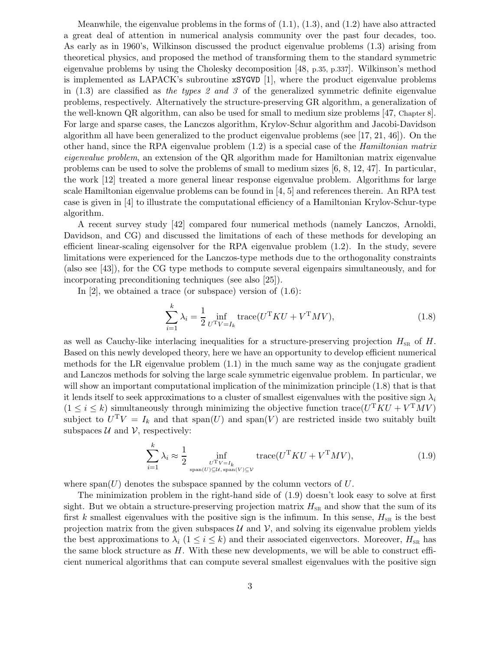Meanwhile, the eigenvalue problems in the forms of  $(1.1)$ ,  $(1.3)$ , and  $(1.2)$  have also attracted a great deal of attention in numerical analysis community over the past four decades, too. As early as in 1960's, Wilkinson discussed the product eigenvalue problems (1.3) arising from theoretical physics, and proposed the method of transforming them to the standard symmetric eigenvalue problems by using the Cholesky decomposition [48, p.35, p.337]. Wilkinson's method is implemented as LAPACK's subroutine xSYGVD [1], where the product eigenvalue problems in  $(1.3)$  are classified as the types 2 and 3 of the generalized symmetric definite eigenvalue problems, respectively. Alternatively the structure-preserving GR algorithm, a generalization of the well-known QR algorithm, can also be used for small to medium size problems [47, Chapter 8]. For large and sparse cases, the Lanczos algorithm, Krylov-Schur algorithm and Jacobi-Davidson algorithm all have been generalized to the product eigenvalue problems (see [17, 21, 46]). On the other hand, since the RPA eigenvalue problem  $(1.2)$  is a special case of the *Hamiltonian matrix* eigenvalue problem, an extension of the QR algorithm made for Hamiltonian matrix eigenvalue problems can be used to solve the problems of small to medium sizes [6, 8, 12, 47]. In particular, the work [12] treated a more general linear response eigenvalue problem. Algorithms for large scale Hamiltonian eigenvalue problems can be found in [4, 5] and references therein. An RPA test case is given in [4] to illustrate the computational efficiency of a Hamiltonian Krylov-Schur-type algorithm.

A recent survey study [42] compared four numerical methods (namely Lanczos, Arnoldi, Davidson, and CG) and discussed the limitations of each of these methods for developing an efficient linear-scaling eigensolver for the RPA eigenvalue problem (1.2). In the study, severe limitations were experienced for the Lanczos-type methods due to the orthogonality constraints (also see [43]), for the CG type methods to compute several eigenpairs simultaneously, and for incorporating preconditioning techniques (see also [25]).

In [2], we obtained a trace (or subspace) version of (1.6):

$$
\sum_{i=1}^{k} \lambda_i = \frac{1}{2} \inf_{U^{\mathrm{T}}V = I_k} \text{trace}(U^{\mathrm{T}}KU + V^{\mathrm{T}}MV), \tag{1.8}
$$

as well as Cauchy-like interlacing inequalities for a structure-preserving projection  $H_{\text{SR}}$  of H. Based on this newly developed theory, here we have an opportunity to develop efficient numerical methods for the LR eigenvalue problem (1.1) in the much same way as the conjugate gradient and Lanczos methods for solving the large scale symmetric eigenvalue problem. In particular, we will show an important computational implication of the minimization principle  $(1.8)$  that is that it lends itself to seek approximations to a cluster of smallest eigenvalues with the positive sign  $\lambda_i$  $(1 \leq i \leq k)$  simultaneously through minimizing the objective function trace  $(U<sup>T</sup>KU + V<sup>T</sup>MV)$ subject to  $U^T V = I_k$  and that  $\text{span}(U)$  and  $\text{span}(V)$  are restricted inside two suitably built subspaces  $\mathcal U$  and  $\mathcal V$ , respectively:

$$
\sum_{i=1}^{k} \lambda_i \approx \frac{1}{2} \inf_{\substack{U^{\mathrm{T}}V = I_k \\ \text{span}(U) \subseteq \mathcal{U}, \text{span}(V) \subseteq \mathcal{V}}} \text{trace}(U^{\mathrm{T}}KU + V^{\mathrm{T}}MV), \tag{1.9}
$$

where span(U) denotes the subspace spanned by the column vectors of  $U$ .

The minimization problem in the right-hand side of (1.9) doesn't look easy to solve at first sight. But we obtain a structure-preserving projection matrix  $H_{\text{SR}}$  and show that the sum of its first k smallest eigenvalues with the positive sign is the infimum. In this sense,  $H_{\text{SR}}$  is the best projection matrix from the given subspaces  $\mathcal{U}$  and  $\mathcal{V}$ , and solving its eigenvalue problem yields the best approximations to  $\lambda_i$  ( $1 \leq i \leq k$ ) and their associated eigenvectors. Moreover,  $H_{\text{SR}}$  has the same block structure as  $H$ . With these new developments, we will be able to construct efficient numerical algorithms that can compute several smallest eigenvalues with the positive sign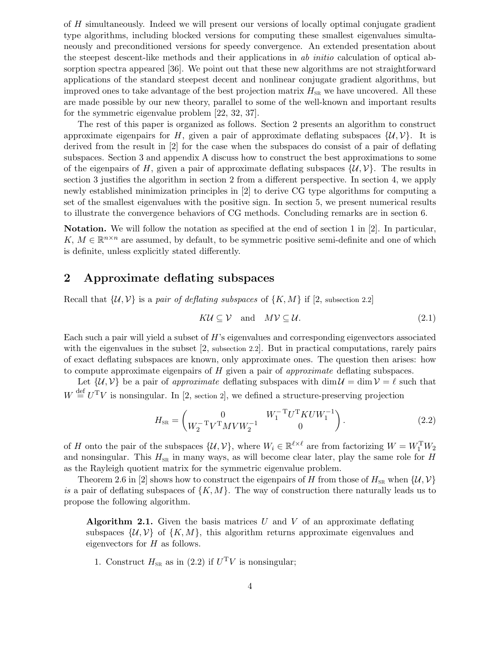of H simultaneously. Indeed we will present our versions of locally optimal conjugate gradient type algorithms, including blocked versions for computing these smallest eigenvalues simultaneously and preconditioned versions for speedy convergence. An extended presentation about the steepest descent-like methods and their applications in ab initio calculation of optical absorption spectra appeared [36]. We point out that these new algorithms are not straightforward applications of the standard steepest decent and nonlinear conjugate gradient algorithms, but improved ones to take advantage of the best projection matrix  $H_{SR}$  we have uncovered. All these are made possible by our new theory, parallel to some of the well-known and important results for the symmetric eigenvalue problem [22, 32, 37].

The rest of this paper is organized as follows. Section 2 presents an algorithm to construct approximate eigenpairs for H, given a pair of approximate deflating subspaces  $\{\mathcal{U}, \mathcal{V}\}\$ . It is derived from the result in [2] for the case when the subspaces do consist of a pair of deflating subspaces. Section 3 and appendix A discuss how to construct the best approximations to some of the eigenpairs of H, given a pair of approximate deflating subspaces  $\{\mathcal{U}, \mathcal{V}\}\$ . The results in section 3 justifies the algorithm in section 2 from a different perspective. In section 4, we apply newly established minimization principles in [2] to derive CG type algorithms for computing a set of the smallest eigenvalues with the positive sign. In section 5, we present numerical results to illustrate the convergence behaviors of CG methods. Concluding remarks are in section 6.

Notation. We will follow the notation as specified at the end of section 1 in [2]. In particular, K,  $M \in \mathbb{R}^{n \times n}$  are assumed, by default, to be symmetric positive semi-definite and one of which is definite, unless explicitly stated differently.

### 2 Approximate deflating subspaces

Recall that  $\{\mathcal{U}, \mathcal{V}\}$  is a pair of deflating subspaces of  $\{K, M\}$  if [2, subsection 2.2]

$$
K\mathcal{U} \subseteq \mathcal{V} \quad \text{and} \quad M\mathcal{V} \subseteq \mathcal{U}.\tag{2.1}
$$

Each such a pair will yield a subset of H's eigenvalues and corresponding eigenvectors associated with the eigenvalues in the subset [2, subsection 2.2]. But in practical computations, rarely pairs of exact deflating subspaces are known, only approximate ones. The question then arises: how to compute approximate eigenpairs of  $H$  given a pair of *approximate* deflating subspaces.

Let  $\{\mathcal{U}, \mathcal{V}\}\$ be a pair of approximate deflating subspaces with  $\dim \mathcal{U} = \dim \mathcal{V} = \ell$  such that  $W \stackrel{\text{def}}{=} U^{T}V$  is nonsingular. In [2, section 2], we defined a structure-preserving projection

$$
H_{\rm SR} = \begin{pmatrix} 0 & W_1^{-T} U^{\rm T} K U W_1^{-1} \\ W_2^{-T} V^{\rm T} M V W_2^{-1} & 0 \end{pmatrix}.
$$
 (2.2)

of H onto the pair of the subspaces  $\{\mathcal{U}, \mathcal{V}\}\$ , where  $W_i \in \mathbb{R}^{\ell \times \ell}$  are from factorizing  $W = W_1^{\mathrm{T}} W_2$ and nonsingular. This  $H_{SR}$  in many ways, as will become clear later, play the same role for H as the Rayleigh quotient matrix for the symmetric eigenvalue problem.

Theorem 2.6 in [2] shows how to construct the eigenpairs of H from those of  $H_{SR}$  when  $\{U, V\}$ is a pair of deflating subspaces of  $\{K, M\}$ . The way of construction there naturally leads us to propose the following algorithm.

**Algorithm 2.1.** Given the basis matrices U and V of an approximate deflating subspaces  $\{U, V\}$  of  $\{K, M\}$ , this algorithm returns approximate eigenvalues and eigenvectors for H as follows.

1. Construct  $H_{SR}$  as in (2.2) if  $U<sup>T</sup>V$  is nonsingular;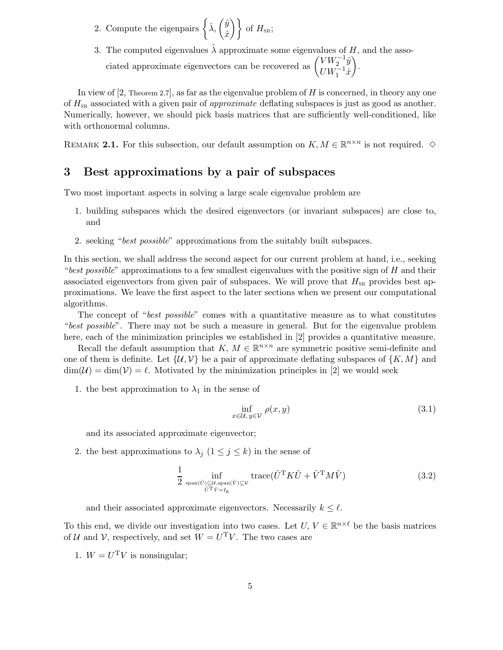- 2. Compute the eigenpairs  $\left\{\hat{\lambda}, \left(\frac{\hat{y}}{\hat{\phi}}\right)\right\}$  $\left\{ \begin{array}{c} \hat{y} \ \hat{x} \end{array} \right\} \text{ of } H_{\text{\tiny SR}};$
- 3. The computed eigenvalues  $\hat{\lambda}$  approximate some eigenvalues of H, and the associated approximate eigenvectors can be recovered as  $\begin{pmatrix} VW_2^{-1}\hat{y} \\ TW_1^{-1}\hat{z} \end{pmatrix}$  $U W_1^{-1}\hat{x}$  $\setminus$ .

In view of  $[2,$  Theorem 2.7], as far as the eigenvalue problem of H is concerned, in theory any one of  $H_{SR}$  associated with a given pair of *approximate* deflating subspaces is just as good as another. Numerically, however, we should pick basis matrices that are sufficiently well-conditioned, like with orthonormal columns.

REMARK 2.1. For this subsection, our default assumption on  $K, M \in \mathbb{R}^{n \times n}$  is not required.  $\diamond$ 

### 3 Best approximations by a pair of subspaces

Two most important aspects in solving a large scale eigenvalue problem are

- 1. building subspaces which the desired eigenvectors (or invariant subspaces) are close to, and
- 2. seeking "best possible" approximations from the suitably built subspaces.

In this section, we shall address the second aspect for our current problem at hand, i.e., seeking "best possible" approximations to a few smallest eigenvalues with the positive sign of  $H$  and their associated eigenvectors from given pair of subspaces. We will prove that  $H_{\text{SR}}$  provides best approximations. We leave the first aspect to the later sections when we present our computational algorithms.

The concept of "best possible" comes with a quantitative measure as to what constitutes "best possible". There may not be such a measure in general. But for the eigenvalue problem here, each of the minimization principles we established in [2] provides a quantitative measure.

Recall the default assumption that  $K, M \in \mathbb{R}^{n \times n}$  are symmetric positive semi-definite and one of them is definite. Let  $\{U, V\}$  be a pair of approximate deflating subspaces of  $\{K, M\}$  and  $\dim(\mathcal{U}) = \dim(\mathcal{V}) = \ell$ . Motivated by the minimization principles in [2] we would seek

1. the best approximation to  $\lambda_1$  in the sense of

$$
\inf_{x \in \mathcal{U}, y \in \mathcal{V}} \rho(x, y) \tag{3.1}
$$

and its associated approximate eigenvector;

2. the best approximations to  $\lambda_j$   $(1 \leq j \leq k)$  in the sense of

$$
\frac{1}{2} \inf_{\text{span}(\hat{U}) \subseteq \mathcal{U}, \text{span}(\hat{V}) \subseteq \mathcal{V}} \text{trace}(\hat{U}^{\mathsf{T}} K \hat{U} + \hat{V}^{\mathsf{T}} M \hat{V})
$$
(3.2)

and their associated approximate eigenvectors. Necessarily  $k \leq \ell$ .

To this end, we divide our investigation into two cases. Let  $U, V \in \mathbb{R}^{n \times \ell}$  be the basis matrices of U and V, respectively, and set  $W = U<sup>T</sup>V$ . The two cases are

1.  $W = U<sup>T</sup>V$  is nonsingular;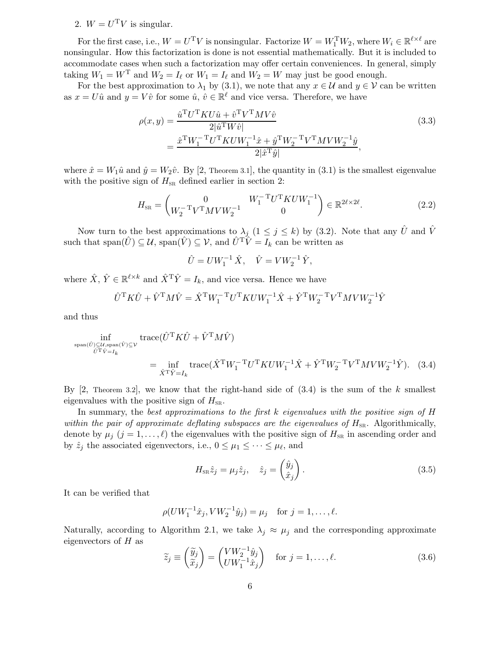### 2.  $W = U<sup>T</sup>V$  is singular.

For the first case, i.e.,  $W = U^T V$  is nonsingular. Factorize  $W = W_1^T W_2$ , where  $W_i \in \mathbb{R}^{\ell \times \ell}$  are nonsingular. How this factorization is done is not essential mathematically. But it is included to accommodate cases when such a factorization may offer certain conveniences. In general, simply taking  $W_1 = W^T$  and  $W_2 = I_\ell$  or  $W_1 = I_\ell$  and  $W_2 = W$  may just be good enough.

For the best approximation to  $\lambda_1$  by (3.1), we note that any  $x \in \mathcal{U}$  and  $y \in \mathcal{V}$  can be written as  $x = U\hat{u}$  and  $y = V\hat{v}$  for some  $\hat{u}, \hat{v} \in \mathbb{R}^{\ell}$  and vice versa. Therefore, we have

$$
\rho(x,y) = \frac{\hat{u}^{\mathrm{T}}U^{\mathrm{T}}KU\hat{u} + \hat{v}^{\mathrm{T}}V^{\mathrm{T}}MV\hat{v}}{2|\hat{u}^{\mathrm{T}}W\hat{v}|} \n= \frac{\hat{x}^{\mathrm{T}}W_{1}^{-\mathrm{T}}U^{\mathrm{T}}KUW_{1}^{-1}\hat{x} + \hat{y}^{\mathrm{T}}W_{2}^{-\mathrm{T}}V^{\mathrm{T}}MVW_{2}^{-1}\hat{y}}{2|\hat{x}^{\mathrm{T}}\hat{y}|},
$$
\n(3.3)

where  $\hat{x} = W_1 \hat{u}$  and  $\hat{y} = W_2 \hat{v}$ . By [2, Theorem 3.1], the quantity in (3.1) is the smallest eigenvalue with the positive sign of  $H_{SR}$  defined earlier in section 2:

$$
H_{\rm SR} = \begin{pmatrix} 0 & W_1^{-T} U^{\rm T} K U W_1^{-1} \\ W_2^{-T} V^{\rm T} M V W_2^{-1} & 0 \end{pmatrix} \in \mathbb{R}^{2\ell \times 2\ell}.
$$
 (2.2)

Now turn to the best approximations to  $\lambda_j$  ( $1 \leq j \leq k$ ) by (3.2). Note that any  $\hat{U}$  and  $\hat{V}$ such that span $(\hat{U}) \subseteq \mathcal{U}$ , span $(\hat{V}) \subseteq \mathcal{V}$ , and  $\hat{U}^T \hat{V} = I_k$  can be written as

$$
\hat{U} = U W_1^{-1} \hat{X}, \quad \hat{V} = V W_2^{-1} \hat{Y},
$$

where  $\hat{X}, \hat{Y} \in \mathbb{R}^{\ell \times k}$  and  $\hat{X}^{\mathrm{T}} \hat{Y} = I_k$ , and vice versa. Hence we have

$$
\hat{U}^{\mathrm{T}} K \hat{U} + \hat{V}^{\mathrm{T}} M \hat{V} = \hat{X}^{\mathrm{T}} W_1^{-\mathrm{T}} U^{\mathrm{T}} K U W_1^{-1} \hat{X} + \hat{Y}^{\mathrm{T}} W_2^{-\mathrm{T}} V^{\mathrm{T}} M V W_2^{-1} \hat{Y}
$$

and thus

$$
\inf_{\substack{\text{span}(\hat{U}) \subseteq \mathcal{U}, \text{span}(\hat{V}) \subseteq \mathcal{V} \\ \hat{U}^{\mathrm{T}}\hat{V} = I_k}} \text{trace}(\hat{U}^{\mathrm{T}}K\hat{U} + \hat{V}^{\mathrm{T}}M\hat{V})
$$
\n
$$
= \inf_{\hat{X}^{\mathrm{T}}\hat{Y} = I_k} \text{trace}(\hat{X}^{\mathrm{T}}W_1^{-\mathrm{T}}U^{\mathrm{T}}KUW_1^{-1}\hat{X} + \hat{Y}^{\mathrm{T}}W_2^{-\mathrm{T}}V^{\mathrm{T}}MVW_2^{-1}\hat{Y}). \quad (3.4)
$$

By  $[2,$  Theorem 3.2, we know that the right-hand side of  $(3.4)$  is the sum of the k smallest eigenvalues with the positive sign of  $H_{\text{SR}}$ .

In summary, the best approximations to the first  $k$  eigenvalues with the positive sign of  $H$ within the pair of approximate deflating subspaces are the eigenvalues of  $H_{\text{SR}}$ . Algorithmically, denote by  $\mu_j$   $(j = 1, \ldots, \ell)$  the eigenvalues with the positive sign of  $H_{SR}$  in ascending order and by  $\hat{z}_j$  the associated eigenvectors, i.e.,  $0 \leq \mu_1 \leq \cdots \leq \mu_\ell$ , and

$$
H_{\rm SR}\hat{z}_j = \mu_j \hat{z}_j, \quad \hat{z}_j = \begin{pmatrix} \hat{y}_j \\ \hat{x}_j \end{pmatrix}.
$$
 (3.5)

It can be verified that

$$
\rho(UW_1^{-1}\hat{x}_j, VW_2^{-1}\hat{y}_j) = \mu_j \quad \text{for } j = 1, \dots, \ell.
$$

Naturally, according to Algorithm 2.1, we take  $\lambda_j \approx \mu_j$  and the corresponding approximate eigenvectors of  $H$  as

$$
\widetilde{z}_j \equiv \begin{pmatrix} \widetilde{y}_j \\ \widetilde{x}_j \end{pmatrix} = \begin{pmatrix} VW_2^{-1} \hat{y}_j \\ UW_1^{-1} \hat{x}_j \end{pmatrix} \quad \text{for } j = 1, \dots, \ell.
$$
\n(3.6)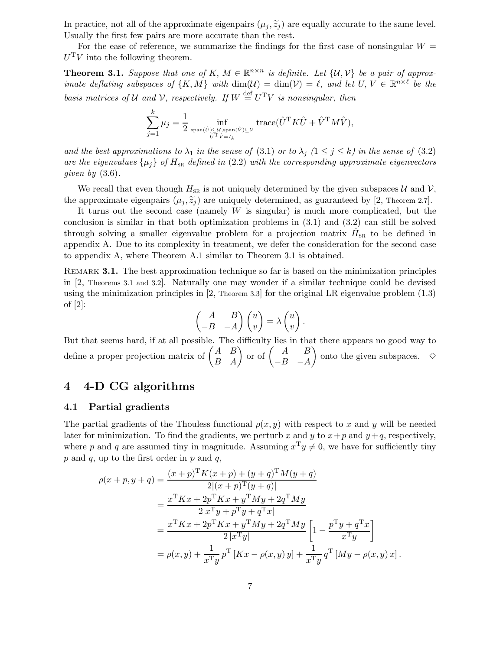In practice, not all of the approximate eigenpairs  $(\mu_i, \tilde{z}_i)$  are equally accurate to the same level. Usually the first few pairs are more accurate than the rest.

For the ease of reference, we summarize the findings for the first case of nonsingular  $W =$  $U<sup>T</sup>V$  into the following theorem.

**Theorem 3.1.** Suppose that one of K,  $M \in \mathbb{R}^{n \times n}$  is definite. Let  $\{U, V\}$  be a pair of approximate deflating subspaces of  $\{K, M\}$  with  $\dim(\mathcal{U}) = \dim(\mathcal{V}) = \ell$ , and let  $U, V \in \mathbb{R}^{n \times \ell}$  be the basis matrices of U and V, respectively. If  $W \stackrel{\text{def}}{=} U^{T}V$  is nonsingular, then

$$
\sum_{j=1}^k \mu_j = \frac{1}{2} \inf_{\substack{\text{span}(\hat{U}) \subseteq \mathcal{U}, \text{span}(\hat{V}) \subseteq \mathcal{V} \\ \hat{U}^{\mathrm{T}} \hat{V} = I_k}} \text{trace}(\hat{U}^{\mathrm{T}} K \hat{U} + \hat{V}^{\mathrm{T}} M \hat{V}),
$$

and the best approximations to  $\lambda_1$  in the sense of (3.1) or to  $\lambda_j$  ( $1 \leq j \leq k$ ) in the sense of (3.2) are the eigenvalues  $\{\mu_i\}$  of  $H_{SR}$  defined in (2.2) with the corresponding approximate eigenvectors given by  $(3.6)$ .

We recall that even though  $H_{SR}$  is not uniquely determined by the given subspaces U and V, the approximate eigenpairs  $(\mu_i, \tilde{z}_i)$  are uniquely determined, as guaranteed by [2, Theorem 2.7].

It turns out the second case (namely  $W$  is singular) is much more complicated, but the conclusion is similar in that both optimization problems in (3.1) and (3.2) can still be solved through solving a smaller eigenvalue problem for a projection matrix  $\hat{H}_{SR}$  to be defined in appendix A. Due to its complexity in treatment, we defer the consideration for the second case to appendix A, where Theorem A.1 similar to Theorem 3.1 is obtained.

REMARK 3.1. The best approximation technique so far is based on the minimization principles in [2, Theorems 3.1 and 3.2]. Naturally one may wonder if a similar technique could be devised using the minimization principles in [2, Theorem 3.3] for the original LR eigenvalue problem (1.3) of [2]:

$$
\begin{pmatrix} A & B \\ -B & -A \end{pmatrix} \begin{pmatrix} u \\ v \end{pmatrix} = \lambda \begin{pmatrix} u \\ v \end{pmatrix}.
$$

But that seems hard, if at all possible. The difficulty lies in that there appears no good way to define a proper projection matrix of  $\begin{pmatrix} A & B \\ B & A \end{pmatrix}$  or of  $\begin{pmatrix} A & B \\ -B & -A \end{pmatrix}$  $-B$  −A ) onto the given subspaces.  $\diamond$ 

### 4 4-D CG algorithms

#### 4.1 Partial gradients

The partial gradients of the Thouless functional  $\rho(x, y)$  with respect to x and y will be needed later for minimization. To find the gradients, we perturb x and y to  $x+p$  and  $y+q$ , respectively, where p and q are assumed tiny in magnitude. Assuming  $x^{\mathrm{T}}y \neq 0$ , we have for sufficiently tiny  $p$  and  $q$ , up to the first order in  $p$  and  $q$ ,

$$
\rho(x+p,y+q) = \frac{(x+p)^{\mathrm{T}}K(x+p) + (y+q)^{\mathrm{T}}M(y+q)}{2|(x+p)^{\mathrm{T}}(y+q)|}
$$
  
\n
$$
= \frac{x^{\mathrm{T}}Kx + 2p^{\mathrm{T}}Kx + y^{\mathrm{T}}My + 2q^{\mathrm{T}}My}{2|x^{\mathrm{T}}y + p^{\mathrm{T}}y + q^{\mathrm{T}}x|}
$$
  
\n
$$
= \frac{x^{\mathrm{T}}Kx + 2p^{\mathrm{T}}Kx + y^{\mathrm{T}}My + 2q^{\mathrm{T}}My}{2|x^{\mathrm{T}}y|} \left[1 - \frac{p^{\mathrm{T}}y + q^{\mathrm{T}}x}{x^{\mathrm{T}}y}\right]
$$
  
\n
$$
= \rho(x,y) + \frac{1}{x^{\mathrm{T}}y}p^{\mathrm{T}}[Kx - \rho(x,y)y] + \frac{1}{x^{\mathrm{T}}y}q^{\mathrm{T}}[My - \rho(x,y)x].
$$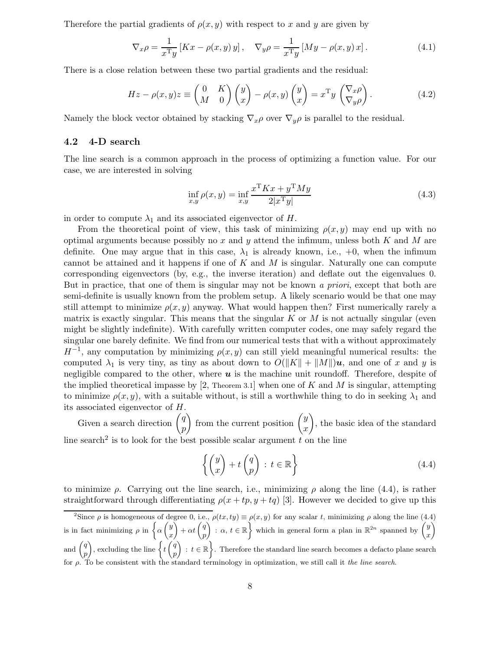Therefore the partial gradients of  $\rho(x, y)$  with respect to x and y are given by

$$
\nabla_x \rho = \frac{1}{x^{\mathrm{T}} y} \left[ Kx - \rho(x, y) y \right], \quad \nabla_y \rho = \frac{1}{x^{\mathrm{T}} y} \left[ My - \rho(x, y) x \right]. \tag{4.1}
$$

There is a close relation between these two partial gradients and the residual:

$$
Hz - \rho(x, y)z \equiv \begin{pmatrix} 0 & K \\ M & 0 \end{pmatrix} \begin{pmatrix} y \\ x \end{pmatrix} - \rho(x, y) \begin{pmatrix} y \\ x \end{pmatrix} = x^{\mathrm{T}} y \begin{pmatrix} \nabla_x \rho \\ \nabla_y \rho \end{pmatrix}.
$$
 (4.2)

Namely the block vector obtained by stacking  $\nabla_x \rho$  over  $\nabla_y \rho$  is parallel to the residual.

#### 4.2 4-D search

The line search is a common approach in the process of optimizing a function value. For our case, we are interested in solving

$$
\inf_{x,y} \rho(x,y) = \inf_{x,y} \frac{x^{\mathrm{T}} K x + y^{\mathrm{T}} M y}{2|x^{\mathrm{T}} y|}
$$
\n(4.3)

in order to compute  $\lambda_1$  and its associated eigenvector of H.

From the theoretical point of view, this task of minimizing  $\rho(x, y)$  may end up with no optimal arguments because possibly no  $x$  and  $y$  attend the infimum, unless both  $K$  and  $M$  are definite. One may argue that in this case,  $\lambda_1$  is already known, i.e.,  $+0$ , when the infimum cannot be attained and it happens if one of  $K$  and  $M$  is singular. Naturally one can compute corresponding eigenvectors (by, e.g., the inverse iteration) and deflate out the eigenvalues 0. But in practice, that one of them is singular may not be known a priori, except that both are semi-definite is usually known from the problem setup. A likely scenario would be that one may still attempt to minimize  $\rho(x, y)$  anyway. What would happen then? First numerically rarely a matrix is exactly singular. This means that the singular K or M is not actually singular (even might be slightly indefinite). With carefully written computer codes, one may safely regard the singular one barely definite. We find from our numerical tests that with a without approximately  $H^{-1}$ , any computation by minimizing  $\rho(x, y)$  can still yield meaningful numerical results: the computed  $\lambda_1$  is very tiny, as tiny as about down to  $O(||K|| + ||M||)u$ , and one of x and y is negligible compared to the other, where  $\boldsymbol{u}$  is the machine unit roundoff. Therefore, despite of the implied theoretical impasse by [2, Theorem 3.1] when one of K and M is singular, attempting to minimize  $\rho(x, y)$ , with a suitable without, is still a worthwhile thing to do in seeking  $\lambda_1$  and its associated eigenvector of H.

Given a search direction  $\begin{pmatrix} q \\ q \end{pmatrix}$ p ) from the current position  $\begin{pmatrix} y \\ z \end{pmatrix}$  $\boldsymbol{x}$  $\setminus$ , the basic idea of the standard line search<sup>2</sup> is to look for the best possible scalar argument  $t$  on the line

$$
\left\{ \begin{pmatrix} y \\ x \end{pmatrix} + t \begin{pmatrix} q \\ p \end{pmatrix} : t \in \mathbb{R} \right\}
$$
 (4.4)

to minimize  $\rho$ . Carrying out the line search, i.e., minimizing  $\rho$  along the line (4.4), is rather straightforward through differentiating  $\rho(x + tp, y + tq)$  [3]. However we decided to give up this

<sup>&</sup>lt;sup>2</sup>Since  $\rho$  is homogeneous of degree 0, i.e.,  $\rho(tx, ty) \equiv \rho(x, y)$  for any scalar t, minimizing  $\rho$  along the line (4.4) is in fact minimizing  $\rho$  in  $\left\{ \alpha \left( \frac{y}{x} \right) \right\}$ x  $\bigg) + \alpha t \left( \frac{q}{q} \right)$ p  $\left\{ \begin{array}{c} x, & t \in \mathbb{R} \end{array} \right\}$  which in general form a plan in  $\mathbb{R}^{2n}$  spanned by  $\left( \begin{array}{c} y \ y \end{array} \right)$ x Ý and  $\left(\begin{array}{c} q \\ q \end{array}\right)$ p ), excluding the line  $\left\{t\right\}$ p  $\Big)$ :  $t \in \mathbb{R}$ . Therefore the standard line search becomes a defacto plane search for  $\rho$ . To be consistent with the standard terminology in optimization, we still call it the line search.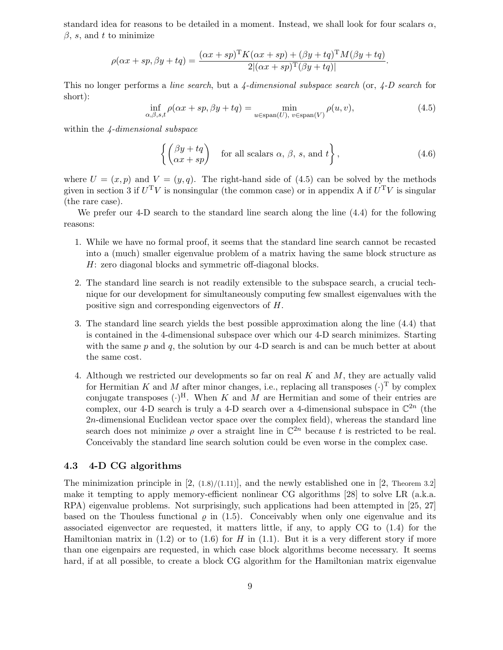standard idea for reasons to be detailed in a moment. Instead, we shall look for four scalars  $\alpha$ ,  $\beta$ , s, and t to minimize

$$
\rho(\alpha x + sp, \beta y + tq) = \frac{(\alpha x + sp)^{\mathrm{T}} K(\alpha x + sp) + (\beta y + tq)^{\mathrm{T}} M(\beta y + tq)}{2|(\alpha x + sp)^{\mathrm{T}}(\beta y + tq)|}.
$$

This no longer performs a line search, but a  $\frac{1}{4}$ -dimensional subspace search (or,  $\frac{1}{4}$ -D search for short):

$$
\inf_{\alpha,\beta,s,t} \rho(\alpha x + sp, \beta y + tq) = \min_{u \in \text{span}(U), \ v \in \text{span}(V)} \rho(u,v),\tag{4.5}
$$

within the 4-dimensional subspace

$$
\left\{ \begin{pmatrix} \beta y + tq \\ \alpha x + sp \end{pmatrix} \text{ for all scalars } \alpha, \beta, s, \text{ and } t \right\},\tag{4.6}
$$

where  $U = (x, p)$  and  $V = (y, q)$ . The right-hand side of (4.5) can be solved by the methods given in section 3 if  $U<sup>T</sup>V$  is nonsingular (the common case) or in appendix A if  $U<sup>T</sup>V$  is singular (the rare case).

We prefer our 4-D search to the standard line search along the line (4.4) for the following reasons:

- 1. While we have no formal proof, it seems that the standard line search cannot be recasted into a (much) smaller eigenvalue problem of a matrix having the same block structure as H: zero diagonal blocks and symmetric off-diagonal blocks.
- 2. The standard line search is not readily extensible to the subspace search, a crucial technique for our development for simultaneously computing few smallest eigenvalues with the positive sign and corresponding eigenvectors of H.
- 3. The standard line search yields the best possible approximation along the line (4.4) that is contained in the 4-dimensional subspace over which our 4-D search minimizes. Starting with the same  $p$  and  $q$ , the solution by our 4-D search is and can be much better at about the same cost.
- 4. Although we restricted our developments so far on real K and M, they are actually valid for Hermitian K and M after minor changes, i.e., replacing all transposes  $(\cdot)^T$  by complex conjugate transposes  $(\cdot)^{H}$ . When K and M are Hermitian and some of their entries are complex, our 4-D search is truly a 4-D search over a 4-dimensional subspace in  $\mathbb{C}^{2n}$  (the  $2n$ -dimensional Euclidean vector space over the complex field), whereas the standard line search does not minimize  $\rho$  over a straight line in  $\mathbb{C}^{2n}$  because t is restricted to be real. Conceivably the standard line search solution could be even worse in the complex case.

#### 4.3 4-D CG algorithms

The minimization principle in  $[2, (1.8)/(1.11)]$ , and the newly established one in  $[2,$  Theorem 3.2 make it tempting to apply memory-efficient nonlinear CG algorithms [28] to solve LR (a.k.a. RPA) eigenvalue problems. Not surprisingly, such applications had been attempted in [25, 27] based on the Thouless functional  $\varrho$  in (1.5). Conceivably when only one eigenvalue and its associated eigenvector are requested, it matters little, if any, to apply CG to (1.4) for the Hamiltonian matrix in  $(1.2)$  or to  $(1.6)$  for H in  $(1.1)$ . But it is a very different story if more than one eigenpairs are requested, in which case block algorithms become necessary. It seems hard, if at all possible, to create a block CG algorithm for the Hamiltonian matrix eigenvalue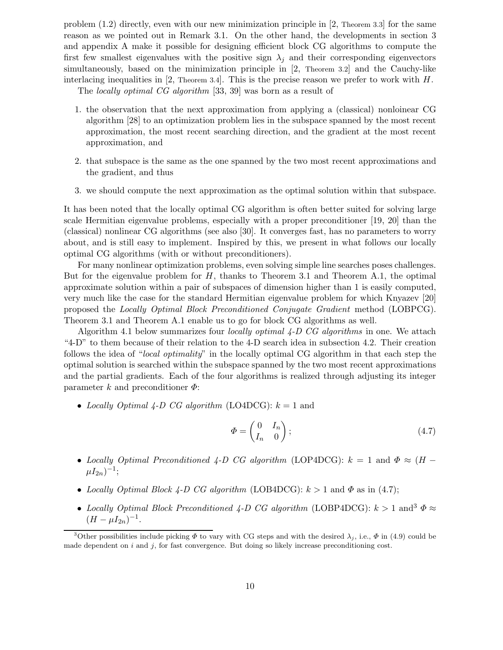problem (1.2) directly, even with our new minimization principle in [2, Theorem 3.3] for the same reason as we pointed out in Remark 3.1. On the other hand, the developments in section 3 and appendix A make it possible for designing efficient block CG algorithms to compute the first few smallest eigenvalues with the positive sign  $\lambda_j$  and their corresponding eigenvectors simultaneously, based on the minimization principle in [2, Theorem 3.2] and the Cauchy-like interlacing inequalities in [2, Theorem 3.4]. This is the precise reason we prefer to work with  $H$ .

The locally optimal CG algorithm [33, 39] was born as a result of

- 1. the observation that the next approximation from applying a (classical) nonloinear CG algorithm [28] to an optimization problem lies in the subspace spanned by the most recent approximation, the most recent searching direction, and the gradient at the most recent approximation, and
- 2. that subspace is the same as the one spanned by the two most recent approximations and the gradient, and thus
- 3. we should compute the next approximation as the optimal solution within that subspace.

It has been noted that the locally optimal CG algorithm is often better suited for solving large scale Hermitian eigenvalue problems, especially with a proper preconditioner [19, 20] than the (classical) nonlinear CG algorithms (see also [30]. It converges fast, has no parameters to worry about, and is still easy to implement. Inspired by this, we present in what follows our locally optimal CG algorithms (with or without preconditioners).

For many nonlinear optimization problems, even solving simple line searches poses challenges. But for the eigenvalue problem for  $H$ , thanks to Theorem 3.1 and Theorem A.1, the optimal approximate solution within a pair of subspaces of dimension higher than 1 is easily computed, very much like the case for the standard Hermitian eigenvalue problem for which Knyazev [20] proposed the Locally Optimal Block Preconditioned Conjugate Gradient method (LOBPCG). Theorem 3.1 and Theorem A.1 enable us to go for block CG algorithms as well.

Algorithm 4.1 below summarizes four *locally optimal 4-D CG algorithms* in one. We attach "4-D" to them because of their relation to the 4-D search idea in subsection 4.2. Their creation follows the idea of "local optimality" in the locally optimal CG algorithm in that each step the optimal solution is searched within the subspace spanned by the two most recent approximations and the partial gradients. Each of the four algorithms is realized through adjusting its integer parameter k and preconditioner  $\Phi$ :

• Locally Optimal 4-D CG algorithm (LO4DCG):  $k = 1$  and

$$
\Phi = \begin{pmatrix} 0 & I_n \\ I_n & 0 \end{pmatrix};\tag{4.7}
$$

- Locally Optimal Preconditioned 4-D CG algorithm (LOP4DCG):  $k = 1$  and  $\Phi \approx (H \mu I_{2n})^{-1};$
- Locally Optimal Block 4-D CG algorithm (LOB4DCG):  $k > 1$  and  $\Phi$  as in (4.7);
- Locally Optimal Block Preconditioned 4-D CG algorithm (LOBP4DCG):  $k > 1$  and  $\Phi \approx$  $(H - \mu I_{2n})^{-1}.$

<sup>&</sup>lt;sup>3</sup>Other possibilities include picking  $\Phi$  to vary with CG steps and with the desired  $\lambda_j$ , i.e.,  $\Phi$  in (4.9) could be made dependent on  $i$  and  $j$ , for fast convergence. But doing so likely increase preconditioning cost.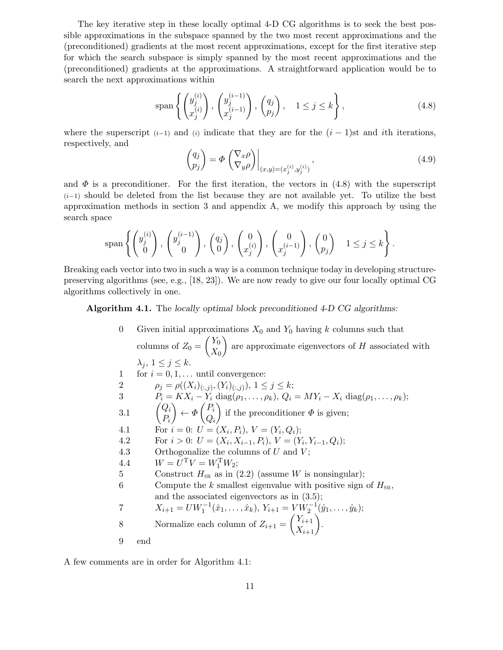The key iterative step in these locally optimal 4-D CG algorithms is to seek the best possible approximations in the subspace spanned by the two most recent approximations and the (preconditioned) gradients at the most recent approximations, except for the first iterative step for which the search subspace is simply spanned by the most recent approximations and the (preconditioned) gradients at the approximations. A straightforward application would be to search the next approximations within

$$
\text{span}\left\{ \begin{pmatrix} y_j^{(i)} \\ x_j^{(i)} \end{pmatrix}, \begin{pmatrix} y_j^{(i-1)} \\ x_j^{(i-1)} \end{pmatrix}, \begin{pmatrix} q_j \\ p_j \end{pmatrix}, 1 \le j \le k \right\},\tag{4.8}
$$

where the superscript  $(i-1)$  and  $(i)$  indicate that they are for the  $(i-1)$ st and ith iterations, respectively, and  $\sim$   $\sim$ 

$$
\begin{pmatrix} q_j \\ p_j \end{pmatrix} = \Phi \begin{pmatrix} \nabla_x \rho \\ \nabla_y \rho \end{pmatrix} \Big|_{(x,y)=(x_j^{(i)},y_j^{(i)})},\tag{4.9}
$$

and  $\Phi$  is a preconditioner. For the first iteration, the vectors in (4.8) with the superscript  $(i-1)$  should be deleted from the list because they are not available yet. To utilize the best approximation methods in section 3 and appendix A, we modify this approach by using the search space

$$
\text{span}\left\{ \begin{pmatrix} y_j^{(i)} \\ 0 \end{pmatrix}, \begin{pmatrix} y_j^{(i-1)} \\ 0 \end{pmatrix}, \begin{pmatrix} q_j \\ 0 \end{pmatrix}, \begin{pmatrix} 0 \\ x_j^{(i)} \end{pmatrix}, \begin{pmatrix} 0 \\ x_j^{(i-1)} \end{pmatrix}, \begin{pmatrix} 0 \\ p_j \end{pmatrix} \mid 1 \leq j \leq k \right\}.
$$

Breaking each vector into two in such a way is a common technique today in developing structurepreserving algorithms (see, e.g., [18, 23]). We are now ready to give our four locally optimal CG algorithms collectively in one.

Algorithm 4.1. The locally optimal block preconditioned 4-D CG algorithms:

0 Given initial approximations  $X_0$  and  $Y_0$  having k columns such that columns of  $Z_0 =$  $\bigl(Y_0$  $X_{0}$  $\overline{ }$ are approximate eigenvectors of  $H$  associated with  $\lambda_j, 1 \leq j \leq k.$ 1 for  $i = 0, 1, \ldots$  until convergence: 2  $\rho_j = \rho((X_i)_{(:,j)}, (Y_i)_{(:,j)}), 1 \le j \le k;$ 3  $P_i = K X_i - Y_i \text{ diag}(\rho_1, ..., \rho_k), Q_i = M Y_i - X_i \text{ diag}(\rho_1, ..., \rho_k);$ 3.1  $\begin{pmatrix} Q_i \\ D_i \end{pmatrix}$  $P_i$  $\setminus$  $\leftarrow \Phi$  $\bigcap_i$  $Q_i$  $\setminus$ if the preconditioner  $\Phi$  is given; 4.1 For  $i = 0$ :  $U = (X_i, P_i), V = (Y_i, Q_i);$ 4.2 For  $i > 0$ :  $U = (X_i, X_{i-1}, P_i), V = (Y_i, Y_{i-1}, Q_i);$ 4.3 Orthogonalize the columns of  $U$  and  $V$ ; 4.4  $W = U^{\mathrm{T}} V = W_1^{\mathrm{T}} W_2;$ 5 Construct  $H_{SR}$  as in (2.2) (assume W is nonsingular); 6 Compute the k smallest eigenvalue with positive sign of  $H_{\text{SR}}$ , and the associated eigenvectors as in (3.5); 7  $X_{i+1} = UW_1^{-1}(\hat{x}_1, \ldots, \hat{x}_k), Y_{i+1} = VW_2^{-1}(\hat{y}_1, \ldots, \hat{y}_k);$ 8 Normalize each column of  $Z_{i+1} =$  $\begin{pmatrix} Y_{i+1} \\ X_{i+1} \end{pmatrix}$ . 9 end

A few comments are in order for Algorithm 4.1: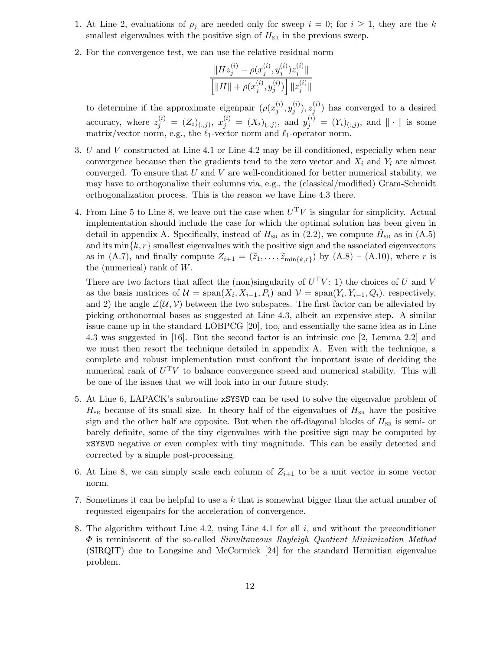- 1. At Line 2, evaluations of  $\rho_i$  are needed only for sweep  $i = 0$ ; for  $i \ge 1$ , they are the k smallest eigenvalues with the positive sign of  $H_{\text{SR}}$  in the previous sweep.
- 2. For the convergence test, we can use the relative residual norm

$$
\frac{\|Hz_j^{(i)} - \rho(x_j^{(i)}, y_j^{(i)})z_j^{(i)}\|}{\left[\|H\| + \rho(x_j^{(i)}, y_j^{(i)})\right] \|z_j^{(i)}\|}
$$

to determine if the approximate eigenpair  $(\rho(x_i^{(i)})$  $\binom{i}{j},y_j^{(i)}$  $\binom{i}{j},z_j^{(i)}$  $j^{(i)}$ ) has converged to a desired accuracy, where  $z_j^{(i)} = (Z_i)_{(:,j)}, x_j^{(i)} = (X_i)_{(:,j)},$  and  $y_j^{(i)} = (Y_i)_{(:,j)},$  and  $\|\cdot\|$  is some matrix/vector norm, e.g., the  $\ell_1$ -vector norm and  $\ell_1$ -operator norm.

- 3. U and V constructed at Line 4.1 or Line 4.2 may be ill-conditioned, especially when near convergence because then the gradients tend to the zero vector and  $X_i$  and  $Y_i$  are almost converged. To ensure that  $U$  and  $V$  are well-conditioned for better numerical stability, we may have to orthogonalize their columns via, e.g., the (classical/modified) Gram-Schmidt orthogonalization process. This is the reason we have Line 4.3 there.
- 4. From Line 5 to Line 8, we leave out the case when  $U<sup>T</sup>V$  is singular for simplicity. Actual implementation should include the case for which the optimal solution has been given in detail in appendix A. Specifically, instead of  $H_{SR}$  as in (2.2), we compute  $\hat{H}_{SR}$  as in (A.5) and its  $\min\{k, r\}$  smallest eigenvalues with the positive sign and the associated eigenvectors as in (A.7), and finally compute  $Z_{i+1} = (\tilde{z}_1, \ldots, \tilde{z}_{\min\{k,r\}})$  by (A.8) – (A.10), where r is the (numerical) rank of  $W$ .

There are two factors that affect the (non)singularity of  $U<sup>T</sup>V$ : 1) the choices of U and V as the basis matrices of  $\mathcal{U} = \text{span}(X_i, X_{i-1}, P_i)$  and  $\mathcal{V} = \text{span}(Y_i, Y_{i-1}, Q_i)$ , respectively, and 2) the angle  $\angle(\mathcal{U}, \mathcal{V})$  between the two subspaces. The first factor can be alleviated by picking orthonormal bases as suggested at Line 4.3, albeit an expensive step. A similar issue came up in the standard LOBPCG [20], too, and essentially the same idea as in Line 4.3 was suggested in [16]. But the second factor is an intrinsic one [2, Lemma 2.2] and we must then resort the technique detailed in appendix A. Even with the technique, a complete and robust implementation must confront the important issue of deciding the numerical rank of  $U<sup>T</sup>V$  to balance convergence speed and numerical stability. This will be one of the issues that we will look into in our future study.

- 5. At Line 6, LAPACK's subroutine xSYSVD can be used to solve the eigenvalue problem of  $H_{SR}$  because of its small size. In theory half of the eigenvalues of  $H_{SR}$  have the positive sign and the other half are opposite. But when the off-diagonal blocks of  $H_{\text{SR}}$  is semi- or barely definite, some of the tiny eigenvalues with the positive sign may be computed by xSYSVD negative or even complex with tiny magnitude. This can be easily detected and corrected by a simple post-processing.
- 6. At Line 8, we can simply scale each column of  $Z_{i+1}$  to be a unit vector in some vector norm.
- 7. Sometimes it can be helpful to use a k that is somewhat bigger than the actual number of requested eigenpairs for the acceleration of convergence.
- 8. The algorithm without Line 4.2, using Line 4.1 for all  $i$ , and without the preconditioner  $\Phi$  is reminiscent of the so-called *Simultaneous Rayleigh Quotient Minimization Method* (SIRQIT) due to Longsine and McCormick [24] for the standard Hermitian eigenvalue problem.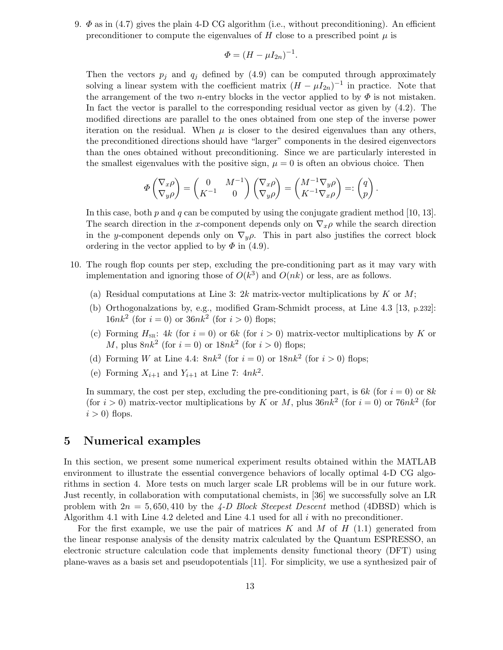9.  $\Phi$  as in (4.7) gives the plain 4-D CG algorithm (i.e., without preconditioning). An efficient preconditioner to compute the eigenvalues of H close to a prescribed point  $\mu$  is

$$
\Phi = (H - \mu I_{2n})^{-1}.
$$

Then the vectors  $p_j$  and  $q_j$  defined by (4.9) can be computed through approximately solving a linear system with the coefficient matrix  $(H - \mu I_{2n})^{-1}$  in practice. Note that the arrangement of the two *n*-entry blocks in the vector applied to by  $\Phi$  is not mistaken. In fact the vector is parallel to the corresponding residual vector as given by (4.2). The modified directions are parallel to the ones obtained from one step of the inverse power iteration on the residual. When  $\mu$  is closer to the desired eigenvalues than any others, the preconditioned directions should have "larger" components in the desired eigenvectors than the ones obtained without preconditioning. Since we are particularly interested in the smallest eigenvalues with the positive sign,  $\mu = 0$  is often an obvious choice. Then

$$
\Phi\begin{pmatrix} \nabla_x \rho \\ \nabla_y \rho \end{pmatrix} = \begin{pmatrix} 0 & M^{-1} \\ K^{-1} & 0 \end{pmatrix} \begin{pmatrix} \nabla_x \rho \\ \nabla_y \rho \end{pmatrix} = \begin{pmatrix} M^{-1} \nabla_y \rho \\ K^{-1} \nabla_x \rho \end{pmatrix} =: \begin{pmatrix} q \\ p \end{pmatrix}.
$$

In this case, both  $p$  and  $q$  can be computed by using the conjugate gradient method [10, 13]. The search direction in the x-component depends only on  $\nabla_x \rho$  while the search direction in the y-component depends only on  $\nabla_y \rho$ . This in part also justifies the correct block ordering in the vector applied to by  $\Phi$  in (4.9).

- 10. The rough flop counts per step, excluding the pre-conditioning part as it may vary with implementation and ignoring those of  $O(k^3)$  and  $O(nk)$  or less, are as follows.
	- (a) Residual computations at Line 3:  $2k$  matrix-vector multiplications by K or M;
	- (b) Orthogonalzations by, e.g., modified Gram-Schmidt process, at Line 4.3 [13, p.232]:  $16nk^2$  (for  $i = 0$ ) or  $36nk^2$  (for  $i > 0$ ) flops;
	- (c) Forming  $H_{SR}$ : 4k (for  $i = 0$ ) or 6k (for  $i > 0$ ) matrix-vector multiplications by K or M, plus  $8nk^2$  (for  $i=0$ ) or  $18nk^2$  (for  $i>0$ ) flops;
	- (d) Forming W at Line 4.4:  $8nk^2$  (for  $i = 0$ ) or  $18nk^2$  (for  $i > 0$ ) flops;
	- (e) Forming  $X_{i+1}$  and  $Y_{i+1}$  at Line 7:  $4nk^2$ .

In summary, the cost per step, excluding the pre-conditioning part, is  $6k$  (for  $i = 0$ ) or  $8k$ (for  $i > 0$ ) matrix-vector multiplications by K or M, plus  $36nk^2$  (for  $i = 0$ ) or  $76nk^2$  (for  $i > 0$ ) flops.

### 5 Numerical examples

In this section, we present some numerical experiment results obtained within the MATLAB environment to illustrate the essential convergence behaviors of locally optimal 4-D CG algorithms in section 4. More tests on much larger scale LR problems will be in our future work. Just recently, in collaboration with computational chemists, in [36] we successfully solve an LR problem with  $2n = 5,650,410$  by the  $\angle A-D$  Block Steepest Descent method (4DBSD) which is Algorithm 4.1 with Line 4.2 deleted and Line 4.1 used for all  $i$  with no preconditioner.

For the first example, we use the pair of matrices K and M of  $H$  (1.1) generated from the linear response analysis of the density matrix calculated by the Quantum ESPRESSO, an electronic structure calculation code that implements density functional theory (DFT) using plane-waves as a basis set and pseudopotentials [11]. For simplicity, we use a synthesized pair of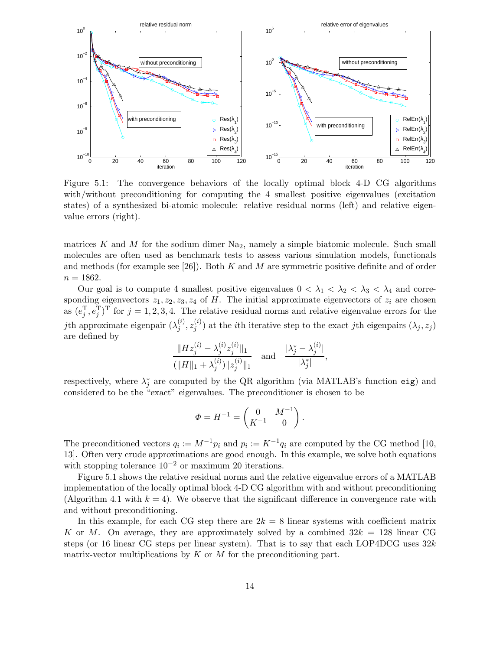

Figure 5.1: The convergence behaviors of the locally optimal block 4-D CG algorithms with/without preconditioning for computing the 4 smallest positive eigenvalues (excitation states) of a synthesized bi-atomic molecule: relative residual norms (left) and relative eigenvalue errors (right).

matrices K and M for the sodium dimer  $N_{22}$ , namely a simple biatomic molecule. Such small molecules are often used as benchmark tests to assess various simulation models, functionals and methods (for example see  $[26]$ ). Both K and M are symmetric positive definite and of order  $n = 1862.$ 

Our goal is to compute 4 smallest positive eigenvalues  $0 < \lambda_1 < \lambda_2 < \lambda_3 < \lambda_4$  and corresponding eigenvectors  $z_1, z_2, z_3, z_4$  of H. The initial approximate eigenvectors of  $z_i$  are chosen as  $(e_j^T, e_j^T)^T$  for  $j = 1, 2, 3, 4$ . The relative residual norms and relative eigenvalue errors for the *j*th approximate eigenpair  $(\lambda_i^{(i)})$  $\binom{i}{j},z_j^{(i)}$  $j^{(i)}$  at the *i*th iterative step to the exact *j*th eigenpairs  $(\lambda_j, z_j)$ are defined by

$$
\frac{\|Hz_j^{(i)} - \lambda_j^{(i)}z_j^{(i)}\|_1}{(\|H\|_1 + \lambda_j^{(i)})\|z_j^{(i)}\|_1} \quad \text{and} \quad \frac{|\lambda_j^* - \lambda_j^{(i)}|}{|\lambda_j^*|},
$$

respectively, where  $\lambda_j^*$  are computed by the QR algorithm (via MATLAB's function eig) and considered to be the "exact" eigenvalues. The preconditioner is chosen to be

$$
\varPhi = H^{-1} = \begin{pmatrix} 0 & M^{-1} \\ K^{-1} & 0 \end{pmatrix}.
$$

The preconditioned vectors  $q_i := M^{-1}p_i$  and  $p_i := K^{-1}q_i$  are computed by the CG method [10, 13]. Often very crude approximations are good enough. In this example, we solve both equations with stopping tolerance  $10^{-2}$  or maximum 20 iterations.

Figure 5.1 shows the relative residual norms and the relative eigenvalue errors of a MATLAB implementation of the locally optimal block 4-D CG algorithm with and without preconditioning (Algorithm 4.1 with  $k = 4$ ). We observe that the significant difference in convergence rate with and without preconditioning.

In this example, for each CG step there are  $2k = 8$  linear systems with coefficient matrix K or M. On average, they are approximately solved by a combined  $32k = 128$  linear CG steps (or 16 linear CG steps per linear system). That is to say that each LOP4DCG uses  $32k$ matrix-vector multiplications by  $K$  or  $M$  for the preconditioning part.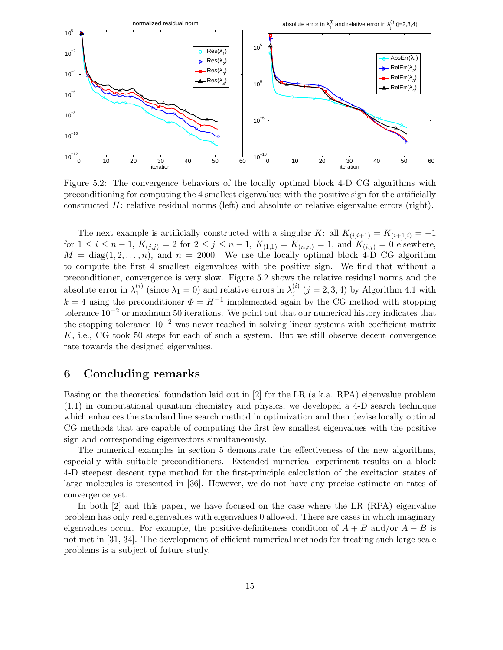

Figure 5.2: The convergence behaviors of the locally optimal block 4-D CG algorithms with preconditioning for computing the 4 smallest eigenvalues with the positive sign for the artificially constructed  $H$ : relative residual norms (left) and absolute or relative eigenvalue errors (right).

The next example is artificially constructed with a singular K: all  $K_{(i,i+1)} = K_{(i+1,i)} = -1$ for  $1 \le i \le n-1$ ,  $K_{(j,i)} = 2$  for  $2 \le j \le n-1$ ,  $K_{(1,1)} = K_{(n,n)} = 1$ , and  $K_{(i,j)} = 0$  elsewhere,  $M = \text{diag}(1, 2, \ldots, n)$ , and  $n = 2000$ . We use the locally optimal block 4-D CG algorithm to compute the first 4 smallest eigenvalues with the positive sign. We find that without a preconditioner, convergence is very slow. Figure 5.2 shows the relative residual norms and the absolute error in  $\lambda_1^{(i)}$  $\chi_1^{(i)}$  (since  $\lambda_1 = 0$ ) and relative errors in  $\lambda_j^{(i)}$  $j^{(i)}(j = 2, 3, 4)$  by Algorithm 4.1 with  $k = 4$  using the preconditioner  $\Phi = H^{-1}$  implemented again by the CG method with stopping tolerance  $10^{-2}$  or maximum 50 iterations. We point out that our numerical history indicates that the stopping tolerance  $10^{-2}$  was never reached in solving linear systems with coefficient matrix K, i.e., CG took 50 steps for each of such a system. But we still observe decent convergence rate towards the designed eigenvalues.

### 6 Concluding remarks

Basing on the theoretical foundation laid out in [2] for the LR (a.k.a. RPA) eigenvalue problem (1.1) in computational quantum chemistry and physics, we developed a 4-D search technique which enhances the standard line search method in optimization and then devise locally optimal CG methods that are capable of computing the first few smallest eigenvalues with the positive sign and corresponding eigenvectors simultaneously.

The numerical examples in section 5 demonstrate the effectiveness of the new algorithms, especially with suitable preconditioners. Extended numerical experiment results on a block 4-D steepest descent type method for the first-principle calculation of the excitation states of large molecules is presented in [36]. However, we do not have any precise estimate on rates of convergence yet.

In both [2] and this paper, we have focused on the case where the LR (RPA) eigenvalue problem has only real eigenvalues with eigenvalues 0 allowed. There are cases in which imaginary eigenvalues occur. For example, the positive-definiteness condition of  $A + B$  and/or  $A - B$  is not met in [31, 34]. The development of efficient numerical methods for treating such large scale problems is a subject of future study.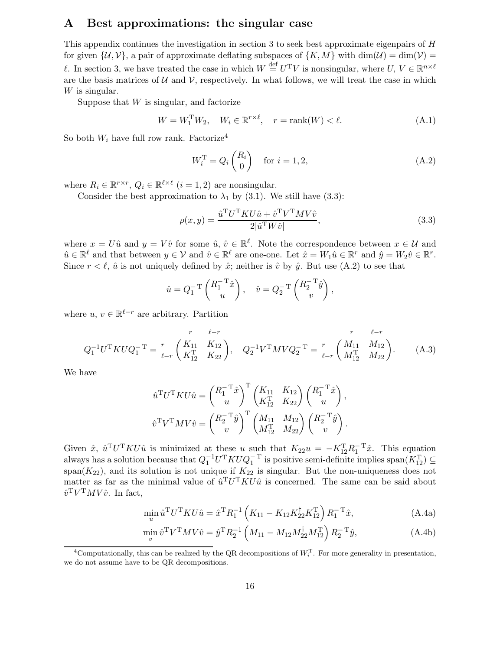### A Best approximations: the singular case

This appendix continues the investigation in section 3 to seek best approximate eigenpairs of  $H$ for given  $\{\mathcal{U}, \mathcal{V}\}\$ , a pair of approximate deflating subspaces of  $\{K, M\}$  with  $\dim(\mathcal{U}) = \dim(\mathcal{V}) =$ l. In section 3, we have treated the case in which  $W \stackrel{\text{def}}{=} U^{T}V$  is nonsingular, where  $U, V \in \mathbb{R}^{n \times \ell}$ are the basis matrices of  $U$  and  $V$ , respectively. In what follows, we will treat the case in which W is singular.

Suppose that  $W$  is singular, and factorize

$$
W = W_1^{\mathrm{T}} W_2, \quad W_i \in \mathbb{R}^{r \times \ell}, \quad r = \mathrm{rank}(W) < \ell. \tag{A.1}
$$

So both  $W_i$  have full row rank. Factorize<sup>4</sup>

$$
W_i^{\mathrm{T}} = Q_i \begin{pmatrix} R_i \\ 0 \end{pmatrix} \quad \text{for } i = 1, 2,
$$
 (A.2)

where  $R_i \in \mathbb{R}^{r \times r}$ ,  $Q_i \in \mathbb{R}^{\ell \times \ell}$   $(i = 1, 2)$  are nonsingular.

Consider the best approximation to  $\lambda_1$  by (3.1). We still have (3.3):

$$
\rho(x,y) = \frac{\hat{u}^{\mathrm{T}} U^{\mathrm{T}} K U \hat{u} + \hat{v}^{\mathrm{T}} V^{\mathrm{T}} M V \hat{v}}{2|\hat{u}^{\mathrm{T}} W \hat{v}|},\tag{3.3}
$$

where  $x = U\hat{u}$  and  $y = V\hat{v}$  for some  $\hat{u}, \hat{v} \in \mathbb{R}^{\ell}$ . Note the correspondence between  $x \in \mathcal{U}$  and  $\hat{u} \in \mathbb{R}^{\ell}$  and that between  $y \in \mathcal{V}$  and  $\hat{v} \in \mathbb{R}^{\ell}$  are one-one. Let  $\hat{x} = W_1 \hat{u} \in \mathbb{R}^r$  and  $\hat{y} = W_2 \hat{v} \in \mathbb{R}^r$ . Since  $r < \ell$ ,  $\hat{u}$  is not uniquely defined by  $\hat{x}$ ; neither is  $\hat{v}$  by  $\hat{y}$ . But use (A.2) to see that

$$
\hat{u} = Q_1^{-T} \begin{pmatrix} R_1^{-T} \hat{x} \\ u \end{pmatrix}, \quad \hat{v} = Q_2^{-T} \begin{pmatrix} R_2^{-T} \hat{y} \\ v \end{pmatrix},
$$

where  $u, v \in \mathbb{R}^{\ell-r}$  are arbitrary. Partition

$$
Q_1^{-1}U^{\mathrm{T}}KUQ_1^{-T} = \frac{r}{\ell - r} \begin{pmatrix} K_{11} & K_{12} \\ K_{12}^{\mathrm{T}} & K_{22} \end{pmatrix}, \quad Q_2^{-1}V^{\mathrm{T}}MVQ_2^{-T} = \frac{r}{\ell - r} \begin{pmatrix} M_{11} & M_{12} \\ M_{12}^{\mathrm{T}} & M_{22} \end{pmatrix}.
$$
 (A.3)

We have

$$
\hat{u}^{\mathrm{T}}U^{\mathrm{T}}KU\hat{u} = \begin{pmatrix} R_1^{-\mathrm{T}}\hat{x} \\ u \end{pmatrix}^{\mathrm{T}} \begin{pmatrix} K_{11} & K_{12} \\ K_{12}^{\mathrm{T}} & K_{22} \end{pmatrix} \begin{pmatrix} R_1^{-\mathrm{T}}\hat{x} \\ u \end{pmatrix}, \n\hat{v}^{\mathrm{T}}V^{\mathrm{T}}MV\hat{v} = \begin{pmatrix} R_2^{-\mathrm{T}}\hat{y} \\ v \end{pmatrix}^{\mathrm{T}} \begin{pmatrix} M_{11} & M_{12} \\ M_{12}^{\mathrm{T}} & M_{22} \end{pmatrix} \begin{pmatrix} R_2^{-\mathrm{T}}\hat{y} \\ v \end{pmatrix}.
$$

Given  $\hat{x}$ ,  $\hat{u}^T U^T K U \hat{u}$  is minimized at these u such that  $K_{22}u = -K_{12}^T R_1^{-T} \hat{x}$ . This equation always has a solution because that  $Q_1^{-1}U^{T}KUQ_1^{-T}$  is positive semi-definite implies  $\text{span}(K_{12}^{T}) \subseteq$  $\sum_{1}^{1}$  is solution is not unique if  $K_{22}$  is singular. But the non-uniqueness does not matter as far as the minimal value of  $\hat{u}^T U^T K U \hat{u}$  is concerned. The same can be said about  $\hat{v}^{\mathrm{T}}V^{\mathrm{T}}MV\hat{v}$ . In fact,

$$
\min_{u} \hat{u}^{\mathrm{T}} U^{\mathrm{T}} K U \hat{u} = \hat{x}^{\mathrm{T}} R_1^{-1} \left( K_{11} - K_{12} K_{22}^{\dagger} K_{12}^{\mathrm{T}} \right) R_1^{-\mathrm{T}} \hat{x}, \tag{A.4a}
$$

$$
\min_{v} \hat{v}^{\mathrm{T}} V^{\mathrm{T}} M V \hat{v} = \hat{y}^{\mathrm{T}} R_2^{-1} \left( M_{11} - M_{12} M_{22}^{\dagger} M_{12}^{\mathrm{T}} \right) R_2^{-\mathrm{T}} \hat{y}, \tag{A.4b}
$$

<sup>&</sup>lt;sup>4</sup>Computationally, this can be realized by the QR decompositions of  $W_i^T$ . For more generality in presentation, we do not assume have to be QR decompositions.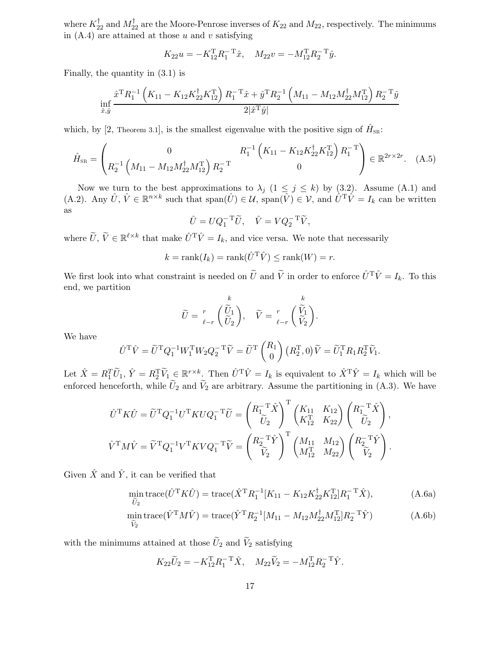where  $K_{22}^{\dagger}$  and  $M_{22}^{\dagger}$  are the Moore-Penrose inverses of  $K_{22}$  and  $M_{22}$ , respectively. The minimums in  $(A.4)$  are attained at those u and v satisfying

$$
K_{22}u = -K_{12}^{T}R_{1}^{-T}\hat{x}, \quad M_{22}v = -M_{12}^{T}R_{2}^{-T}\hat{y}.
$$

Finally, the quantity in (3.1) is

$$
\inf_{\hat{x},\hat{y}} \frac{\hat{x}^{\mathrm{T}} R_1^{-1} \left(K_{11}-K_{12} K_{22}^{\dagger} K_{12}^{\mathrm{T}}\right) R_1^{-\mathrm{T}} \hat{x} + \hat{y}^{\mathrm{T}} R_2^{-1} \left(M_{11}-M_{12} M_{22}^{\dagger} M_{12}^{\mathrm{T}}\right) R_2^{-\mathrm{T}} \hat{y}}{2 |\hat{x}^{\mathrm{T}} \hat{y}|}
$$

which, by [2, Theorem 3.1], is the smallest eigenvalue with the positive sign of  $\hat{H}_{SR}$ :

$$
\hat{H}_{\text{SR}} = \begin{pmatrix} 0 & R_1^{-1} \left( K_{11} - K_{12} K_{22}^{\dagger} K_{12}^{\mathrm{T}} \right) R_1^{-\mathrm{T}} \\ R_2^{-1} \left( M_{11} - M_{12} M_{22}^{\dagger} M_{12}^{\mathrm{T}} \right) R_2^{-\mathrm{T}} & 0 \end{pmatrix} \in \mathbb{R}^{2r \times 2r}.
$$
 (A.5)

Now we turn to the best approximations to  $\lambda_j$  (1  $\leq$  j  $\leq$  k) by (3.2). Assume (A.1) and (A.2). Any  $\hat{U}, \hat{V} \in \mathbb{R}^{n \times k}$  such that  $\text{span}(\hat{U}) \in \mathcal{U}$ ,  $\text{span}(\hat{V}) \in \mathcal{V}$ , and  $\hat{U}^T \hat{V} = I_k$  can be written as

$$
\hat{U} = UQ_1^{-T}\widetilde{U}, \quad \hat{V} = VQ_2^{-T}\widetilde{V},
$$

where  $\tilde{U}, \tilde{V} \in \mathbb{R}^{\ell \times k}$  that make  $\hat{U}^T \hat{V} = I_k$ , and vice versa. We note that necessarily

$$
k = \text{rank}(I_k) = \text{rank}(\hat{U}^{\text{T}}\hat{V}) \le \text{rank}(W) = r.
$$

We first look into what constraint is needed on  $\tilde{U}$  and  $\tilde{V}$  in order to enforce  $\hat{U}^T\hat{V} = I_k$ . To this end, we partition

$$
\widetilde{U} = \begin{bmatrix} k \\ \widetilde{U}_1 \\ \widetilde{U}_2 \end{bmatrix}, \quad \widetilde{V} = \begin{bmatrix} k \\ \widetilde{V}_1 \\ \widetilde{V}_2 \end{bmatrix}.
$$

We have

$$
\hat{U}^{\mathrm{T}}\hat{V} = \widetilde{U}^{\mathrm{T}}Q_1^{-1}W_1^{\mathrm{T}}W_2Q_2^{-\mathrm{T}}\widetilde{V} = \widetilde{U}^{\mathrm{T}}\begin{pmatrix} R_1\\0 \end{pmatrix} (R_2^{\mathrm{T}}, 0)\widetilde{V} = \widetilde{U}_1^{\mathrm{T}}R_1R_2^{\mathrm{T}}\widetilde{V}_1.
$$

Let  $\hat{X} = R_1^T \widetilde{U}_1$ ,  $\hat{Y} = R_2^T \widetilde{V}_1 \subseteq \mathbb{R}^{r \times k}$ . Then  $\hat{U}^T \hat{V} = I_k$  is equivalent to  $\hat{X}^T \hat{Y} = I_k$  which will be enforced henceforth, while  $U_2$  and  $V_2$  are arbitrary. Assume the partitioning in (A.3). We have

$$
\hat{U}^{\mathrm{T}} K \hat{U} = \tilde{U}^{\mathrm{T}} Q_1^{-1} U^{\mathrm{T}} K U Q_1^{-\mathrm{T}} \tilde{U} = \begin{pmatrix} R_1^{-\mathrm{T}} \hat{X} \\ \tilde{U}_2 \end{pmatrix}^{\mathrm{T}} \begin{pmatrix} K_{11} & K_{12} \\ K_{12}^{\mathrm{T}} & K_{22} \end{pmatrix} \begin{pmatrix} R_1^{-\mathrm{T}} \hat{X} \\ \tilde{U}_2 \end{pmatrix},
$$
  

$$
\hat{V}^{\mathrm{T}} M \hat{V} = \tilde{V}^{\mathrm{T}} Q_1^{-1} V^{\mathrm{T}} K V Q_1^{-\mathrm{T}} \tilde{V} = \begin{pmatrix} R_2^{-\mathrm{T}} \hat{Y} \\ \tilde{V}_2 \end{pmatrix}^{\mathrm{T}} \begin{pmatrix} M_{11} & M_{12} \\ M_{12}^{\mathrm{T}} & M_{22} \end{pmatrix} \begin{pmatrix} R_2^{-\mathrm{T}} \hat{Y} \\ \tilde{V}_2 \end{pmatrix}.
$$

Given  $\hat{X}$  and  $\hat{Y}$ , it can be verified that

$$
\min_{\tilde{U}_2} \text{trace}(\hat{U}^{\text{T}} K \hat{U}) = \text{trace}(\hat{X}^{\text{T}} R_1^{-1} [K_{11} - K_{12} K_{22}^{\dagger} K_{12}^{\text{T}}] R_1^{-\text{T}} \hat{X}), \tag{A.6a}
$$

$$
\min_{\tilde{V}_2} \text{trace}(\hat{V}^{\text{T}} M \hat{V}) = \text{trace}(\hat{Y}^{\text{T}} R_2^{-1} [M_{11} - M_{12} M_{22}^{\dagger} M_{12}^{\text{T}}] R_2^{-\text{T}} \hat{Y})
$$
(A.6b)

with the minimums attained at those  $\widetilde{U}_2$  and  $\widetilde{V}_2$  satisfying

$$
K_{22}\widetilde{U}_2 = -K_{12}^{T}R_1^{-T}\hat{X}, \quad M_{22}\widetilde{V}_2 = -M_{12}^{T}R_2^{-T}\hat{Y}.
$$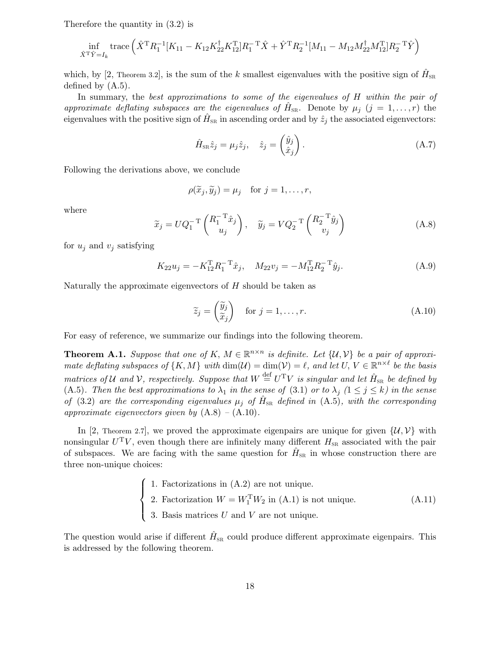Therefore the quantity in (3.2) is

$$
\inf_{\hat{X}^{\mathrm{T}}\hat{Y}=I_{k}}\text{trace}\left(\hat{X}^{\mathrm{T}}R_{1}^{-1}[K_{11}-K_{12}K_{22}^{\dagger}K_{12}^{\mathrm{T}}]R_{1}^{-\mathrm{T}}\hat{X}+\hat{Y}^{\mathrm{T}}R_{2}^{-1}[M_{11}-M_{12}M_{22}^{\dagger}M_{12}^{\mathrm{T}}]R_{2}^{-\mathrm{T}}\hat{Y}\right)
$$

which, by [2, Theorem 3.2], is the sum of the k smallest eigenvalues with the positive sign of  $\hat{H}_{SR}$ defined by (A.5).

In summary, the best approximations to some of the eigenvalues of H within the pair of approximate deflating subspaces are the eigenvalues of  $\hat{H}_{SR}$ . Denote by  $\mu_j$   $(j = 1, \ldots, r)$  the eigenvalues with the positive sign of  $\hat{H}_{\text{SR}}$  in ascending order and by  $\hat{z}_j$  the associated eigenvectors:

$$
\hat{H}_{\text{SR}}\hat{z}_j = \mu_j \hat{z}_j, \quad \hat{z}_j = \begin{pmatrix} \hat{y}_j \\ \hat{x}_j \end{pmatrix}.
$$
\n(A.7)

Following the derivations above, we conclude

$$
\rho(\widetilde{x}_j,\widetilde{y}_j)=\mu_j \quad \text{for } j=1,\ldots,r,
$$

where

$$
\widetilde{x}_j = UQ_1^{-T} \begin{pmatrix} R_1^{-T} \hat{x}_j \\ u_j \end{pmatrix}, \quad \widetilde{y}_j = VQ_2^{-T} \begin{pmatrix} R_2^{-T} \hat{y}_j \\ v_j \end{pmatrix}
$$
\n(A.8)

for  $u_j$  and  $v_j$  satisfying

$$
K_{22}u_j = -K_{12}^{\mathrm{T}}R_1^{-\mathrm{T}}\hat{x}_j, \quad M_{22}v_j = -M_{12}^{\mathrm{T}}R_2^{-\mathrm{T}}\hat{y}_j.
$$
(A.9)

Naturally the approximate eigenvectors of  $H$  should be taken as

$$
\widetilde{z}_j = \begin{pmatrix} \widetilde{y}_j \\ \widetilde{x}_j \end{pmatrix} \quad \text{for } j = 1, \dots, r. \tag{A.10}
$$

For easy of reference, we summarize our findings into the following theorem.

**Theorem A.1.** Suppose that one of K,  $M \in \mathbb{R}^{n \times n}$  is definite. Let  $\{U, V\}$  be a pair of approximate deflating subspaces of  $\{K, M\}$  with  $\dim(\mathcal{U}) = \dim(\mathcal{V}) = \ell$ , and let  $U, V \in \mathbb{R}^{n \times \ell}$  be the basis matrices of U and V, respectively. Suppose that  $W \stackrel{\text{def}}{=} U^T V$  is singular and let  $\hat{H}_{SR}$  be defined by (A.5). Then the best approximations to  $\lambda_1$  in the sense of (3.1) or to  $\lambda_j$  ( $1 \leq j \leq k$ ) in the sense of (3.2) are the corresponding eigenvalues  $\mu_j$  of  $\hat{H}_{SR}$  defined in (A.5), with the corresponding approximate eigenvectors given by  $(A.8) - (A.10)$ .

In [2, Theorem 2.7], we proved the approximate eigenpairs are unique for given  $\{\mathcal{U}, \mathcal{V}\}\$  with nonsingular  $U^{\mathrm{T}}V$ , even though there are infinitely many different  $H_{\text{SR}}$  associated with the pair of subspaces. We are facing with the same question for  $\hat{H}_{SR}$  in whose construction there are three non-unique choices:

\n- Factorizations in (A.2) are not unique.
\n- Factorization 
$$
W = W_1^{\text{T}} W_2
$$
 in (A.1) is not unique.
\n- BasicS. Basis matrices  $U$  and  $V$  are not unique.
\n
\n(A.11)

The question would arise if different  $\hat{H}_{SR}$  could produce different approximate eigenpairs. This is addressed by the following theorem.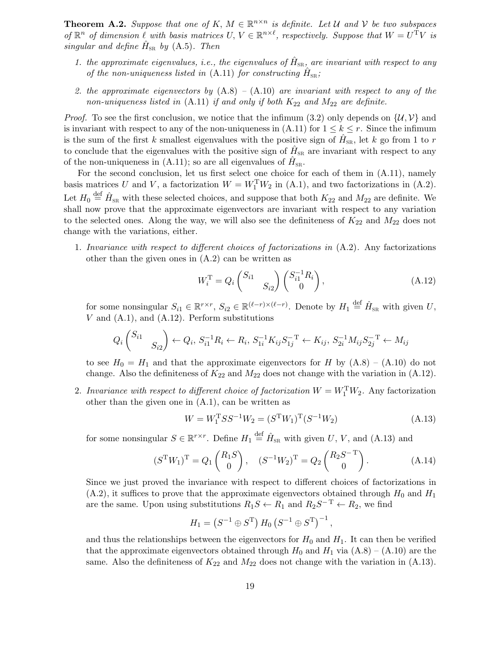**Theorem A.2.** Suppose that one of K,  $M \in \mathbb{R}^{n \times n}$  is definite. Let U and V be two subspaces of  $\mathbb{R}^n$  of dimension  $\ell$  with basis matrices  $U, V \in \mathbb{R}^{n \times \ell}$ , respectively. Suppose that  $W = U^T V$  is singular and define  $\hat{H}_{SR}$  by (A.5). Then

- 1. the approximate eigenvalues, i.e., the eigenvalues of  $\hat{H}_{SR}$ , are invariant with respect to any of the non-uniqueness listed in (A.11) for constructing  $\hat{H}_{SR}$ ;
- 2. the approximate eigenvectors by  $(A.8) (A.10)$  are invariant with respect to any of the non-uniqueness listed in  $(A.11)$  if and only if both  $K_{22}$  and  $M_{22}$  are definite.

*Proof.* To see the first conclusion, we notice that the infimum (3.2) only depends on  $\{\mathcal{U}, \mathcal{V}\}\$  and is invariant with respect to any of the non-uniqueness in  $(A.11)$  for  $1 \leq k \leq r$ . Since the infimum is the sum of the first k smallest eigenvalues with the positive sign of  $\hat{H}_{SR}$ , let k go from 1 to r to conclude that the eigenvalues with the positive sign of  $\hat{H}_{SR}$  are invariant with respect to any of the non-uniqueness in (A.11); so are all eigenvalues of  $\hat{H}_{SR}$ .

For the second conclusion, let us first select one choice for each of them in (A.11), namely basis matrices U and V, a factorization  $W = W_1^TW_2$  in (A.1), and two factorizations in (A.2). Let  $H_0 \stackrel{\text{def}}{=} \hat{H}_{SR}$  with these selected choices, and suppose that both  $K_{22}$  and  $M_{22}$  are definite. We shall now prove that the approximate eigenvectors are invariant with respect to any variation to the selected ones. Along the way, we will also see the definiteness of  $K_{22}$  and  $M_{22}$  does not change with the variations, either.

1. Invariance with respect to different choices of factorizations in  $(A.2)$ . Any factorizations other than the given ones in  $(A.2)$  can be written as

$$
W_i^{\rm T} = Q_i \begin{pmatrix} S_{i1} & \\ & S_{i2} \end{pmatrix} \begin{pmatrix} S_{i1}^{-1} R_i \\ 0 \end{pmatrix}, \tag{A.12}
$$

for some nonsingular  $S_{i1} \in \mathbb{R}^{r \times r}$ ,  $S_{i2} \in \mathbb{R}^{(\ell-r) \times (\ell-r)}$ . Denote by  $H_1 \stackrel{\text{def}}{=} \hat{H}_{SR}$  with given U,  $V$  and  $(A.1)$ , and  $(A.12)$ . Perform substitutions

$$
Q_i\begin{pmatrix} S_{i1} & & \\ & S_{i2} \end{pmatrix} \leftarrow Q_i, \ S_{i1}^{-1}R_i \leftarrow R_i, \ S_{1i}^{-1}K_{ij}S_{1j}^{-T} \leftarrow K_{ij}, \ S_{2i}^{-1}M_{ij}S_{2j}^{-T} \leftarrow M_{ij}
$$

to see  $H_0 = H_1$  and that the approximate eigenvectors for H by  $(A.8) - (A.10)$  do not change. Also the definiteness of  $K_{22}$  and  $M_{22}$  does not change with the variation in (A.12).

2. Invariance with respect to different choice of factorization  $W = W_1^{\mathrm{T}} W_2$ . Any factorization other than the given one in (A.1), can be written as

$$
W = W_1^{\mathrm{T}} S S^{-1} W_2 = (S^{\mathrm{T}} W_1)^{\mathrm{T}} (S^{-1} W_2)
$$
\n(A.13)

for some nonsingular  $S \in \mathbb{R}^{r \times r}$ . Define  $H_1 \stackrel{\text{def}}{=} \hat{H}_{SR}$  with given U, V, and (A.13) and

$$
(S^{\mathrm{T}}W_1)^{\mathrm{T}} = Q_1 \begin{pmatrix} R_1 S \\ 0 \end{pmatrix}, \quad (S^{-1}W_2)^{\mathrm{T}} = Q_2 \begin{pmatrix} R_2 S^{-\mathrm{T}} \\ 0 \end{pmatrix}.
$$
 (A.14)

Since we just proved the invariance with respect to different choices of factorizations in  $(A.2)$ , it suffices to prove that the approximate eigenvectors obtained through  $H_0$  and  $H_1$ are the same. Upon using substitutions  $R_1S \leftarrow R_1$  and  $R_2S^{-T} \leftarrow R_2$ , we find

$$
H_1 = (S^{-1} \oplus S^{T}) H_0 (S^{-1} \oplus S^{T})^{-1},
$$

and thus the relationships between the eigenvectors for  $H_0$  and  $H_1$ . It can then be verified that the approximate eigenvectors obtained through  $H_0$  and  $H_1$  via  $(A.8) - (A.10)$  are the same. Also the definiteness of  $K_{22}$  and  $M_{22}$  does not change with the variation in (A.13).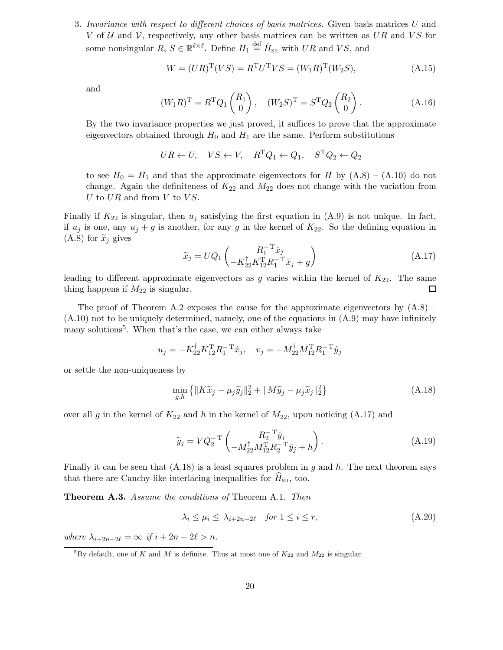3. Invariance with respect to different choices of basis matrices. Given basis matrices U and V of U and V, respectively, any other basis matrices can be written as UR and VS for some nonsingular  $R, S \in \mathbb{R}^{\ell \times \ell}$ . Define  $H_1 \stackrel{\text{def}}{=} \hat{H}_{\text{SR}}$  with  $UR$  and  $VS$ , and

$$
W = (UR)^{T}(VS) = R^{T}U^{T}VS = (W_{1}R)^{T}(W_{2}S), \tag{A.15}
$$

and

$$
(W_1 R)^{\mathrm{T}} = R^{\mathrm{T}} Q_1 \begin{pmatrix} R_1 \\ 0 \end{pmatrix}, \quad (W_2 S)^{\mathrm{T}} = S^{\mathrm{T}} Q_2 \begin{pmatrix} R_2 \\ 0 \end{pmatrix}.
$$
 (A.16)

By the two invariance properties we just proved, it suffices to prove that the approximate eigenvectors obtained through  $H_0$  and  $H_1$  are the same. Perform substitutions

$$
UR \leftarrow U, \quad VS \leftarrow V, \quad R^{\mathrm{T}}Q_1 \leftarrow Q_1, \quad S^{\mathrm{T}}Q_2 \leftarrow Q_2
$$

to see  $H_0 = H_1$  and that the approximate eigenvectors for H by  $(A.8) - (A.10)$  do not change. Again the definiteness of  $K_{22}$  and  $M_{22}$  does not change with the variation from U to  $UR$  and from V to  $VS$ .

Finally if  $K_{22}$  is singular, then  $u_j$  satisfying the first equation in  $(A.9)$  is not unique. In fact, if  $u_j$  is one, any  $u_j + g$  is another, for any g in the kernel of  $K_{22}$ . So the defining equation in  $(A.8)$  for  $\widetilde{x}_j$  gives

$$
\widetilde{x}_j = UQ_1 \begin{pmatrix} R_1^{-T} \hat{x}_j \\ -K_{22}^{\dagger} K_{12}^{\dagger} R_1^{-T} \hat{x}_j + g \end{pmatrix}
$$
\n(A.17)

leading to different approximate eigenvectors as g varies within the kernel of  $K_{22}$ . The same thing happens if  $M_{22}$  is singular.  $\Box$ 

The proof of Theorem A.2 exposes the cause for the approximate eigenvectors by  $(A.8)$  –  $(A.10)$  not to be uniquely determined, namely, one of the equations in  $(A.9)$  may have infinitely many solutions<sup>5</sup>. When that's the case, we can either always take

$$
u_j = -K_{22}^{\dagger} K_{12}^{\mathrm{T}} R_1^{-\mathrm{T}} \hat{x}_j, \quad v_j = -M_{22}^{\dagger} M_{12}^{\mathrm{T}} R_1^{-\mathrm{T}} \hat{y}_j
$$

or settle the non-uniqueness by

$$
\min_{g,h} \left\{ \|K\widetilde{x}_j - \mu_j \widetilde{y}_j\|_2^2 + \|M\widetilde{y}_j - \mu_j \widetilde{x}_j\|_2^2 \right\}
$$
\n(A.18)

over all g in the kernel of  $K_{22}$  and h in the kernel of  $M_{22}$ , upon noticing (A.17) and

$$
\widetilde{y}_j = V Q_2^{-T} \begin{pmatrix} R_2^{-T} \hat{y}_j \\ -M_{22}^{\dagger} M_{12}^{\mathrm{T}} R_2^{-T} \hat{y}_j + h \end{pmatrix} . \tag{A.19}
$$

Finally it can be seen that  $(A.18)$  is a least squares problem in g and h. The next theorem says that there are Cauchy-like interlacing inequalities for  $H_{\rm SR}$ , too.

Theorem A.3. Assume the conditions of Theorem A.1. Then

$$
\lambda_i \le \mu_i \le \lambda_{i+2n-2\ell} \quad \text{for } 1 \le i \le r,
$$
\n(A.20)

where  $\lambda_{i+2n-2\ell} = \infty$  if  $i + 2n - 2\ell > n$ .

<sup>&</sup>lt;sup>5</sup>By default, one of K and M is definite. Thus at most one of  $K_{22}$  and  $M_{22}$  is singular.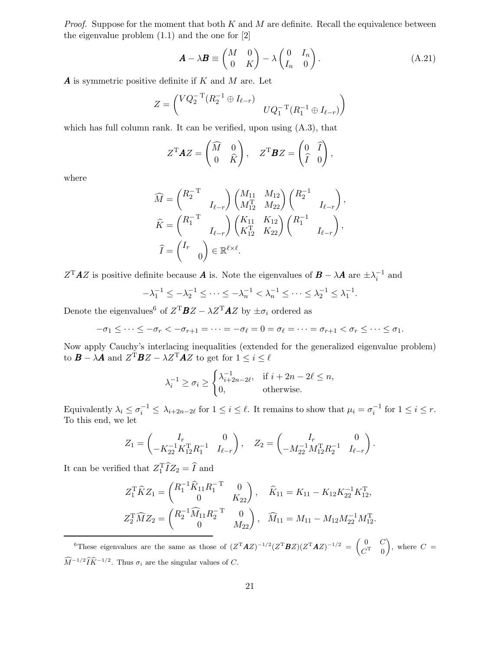*Proof.* Suppose for the moment that both  $K$  and  $M$  are definite. Recall the equivalence between the eigenvalue problem (1.1) and the one for [2]

$$
\mathbf{A} - \lambda \mathbf{B} \equiv \begin{pmatrix} M & 0 \\ 0 & K \end{pmatrix} - \lambda \begin{pmatrix} 0 & I_n \\ I_n & 0 \end{pmatrix}.
$$
 (A.21)

**A** is symmetric positive definite if K and M are. Let

$$
Z = \begin{pmatrix} VQ_2^{-T}(R_2^{-1} \oplus I_{\ell-r}) & 0 & 0\\ 2^{-T}(R_1^{-1} \oplus I_{\ell-r}) \end{pmatrix}
$$

which has full column rank. It can be verified, upon using  $(A.3)$ , that

$$
Z^{\mathrm{T}} \mathbf{A} Z = \begin{pmatrix} \widehat{M} & 0 \\ 0 & \widehat{K} \end{pmatrix}, \quad Z^{\mathrm{T}} \mathbf{B} Z = \begin{pmatrix} 0 & \widehat{I} \\ \widehat{I} & 0 \end{pmatrix},
$$

where

$$
\widehat{M} = \begin{pmatrix} R_2^{-T} & 0 & 0 \\ I_{\ell-r} & I_{\ell-r} \end{pmatrix} \begin{pmatrix} M_{11} & M_{12} \\ M_{12}^T & M_{22} \end{pmatrix} \begin{pmatrix} R_2^{-1} & 0 \\ I_{\ell-r} \end{pmatrix},
$$
\n
$$
\widehat{K} = \begin{pmatrix} R_1^{-T} & 0 \\ I_{\ell-r} \end{pmatrix} \begin{pmatrix} K_{11} & K_{12} \\ K_{12}^T & K_{22} \end{pmatrix} \begin{pmatrix} R_1^{-1} & 0 \\ I_{\ell-r} \end{pmatrix},
$$
\n
$$
\widehat{I} = \begin{pmatrix} I_r & 0 \\ 0 & I_r \end{pmatrix} \in \mathbb{R}^{\ell \times \ell}.
$$

 $Z<sup>T</sup>A Z$  is positive definite because  $A$  is. Note the eigenvalues of  $B - \lambda A$  are  $\pm \lambda_i^{-1}$  and

$$
-\lambda_1^{-1} \le -\lambda_2^{-1} \le \dots \le -\lambda_n^{-1} < \lambda_n^{-1} \le \dots \le \lambda_2^{-1} \le \lambda_1^{-1}.
$$

Denote the eigenvalues<sup>6</sup> of  $Z^{T}$ **B** $Z - \lambda Z^{T}$ **A** $Z$  by  $\pm \sigma_i$  ordered as

$$
-\sigma_1 \leq \cdots \leq -\sigma_r < -\sigma_{r+1} = \cdots = -\sigma_\ell = 0 = \sigma_\ell = \cdots = \sigma_{r+1} < \sigma_r \leq \cdots \leq \sigma_1.
$$

Now apply Cauchy's interlacing inequalities (extended for the generalized eigenvalue problem) to  $\bm{B} - \lambda \bm{A}$  and  $Z^{\mathrm{T}} \bm{B} Z - \lambda Z^{\mathrm{T}} \bm{A} Z$  to get for  $1 \leq i \leq \ell$ 

$$
\lambda_i^{-1} \ge \sigma_i \ge \begin{cases} \lambda_{i+2n-2\ell}^{-1}, & \text{if } i+2n-2\ell \le n, \\ 0, & \text{otherwise.} \end{cases}
$$

Equivalently  $\lambda_i \leq \sigma_i^{-1} \leq \lambda_{i+2n-2\ell}$  for  $1 \leq i \leq \ell$ . It remains to show that  $\mu_i = \sigma_i^{-1}$  for  $1 \leq i \leq r$ . To this end, we let

$$
Z_1 = \begin{pmatrix} I_r & 0 \\ -K_{22}^{-1}K_{12}^{\mathrm{T}}R_1^{-1} & I_{\ell-r} \end{pmatrix}, \quad Z_2 = \begin{pmatrix} I_r & 0 \\ -M_{22}^{-1}M_{12}^{\mathrm{T}}R_2^{-1} & I_{\ell-r} \end{pmatrix}.
$$

It can be verified that  $Z_1^T \hat{I} Z_2 = \hat{I}$  and

$$
Z_1^{\text{T}} \widehat{K} Z_1 = \begin{pmatrix} R_1^{-1} \widehat{K}_{11} R_1^{-\text{T}} & 0 \\ 0 & K_{22} \end{pmatrix}, \quad \widehat{K}_{11} = K_{11} - K_{12} K_{22}^{-1} K_{12}^{\text{T}},
$$
  

$$
Z_2^{\text{T}} \widehat{M} Z_2 = \begin{pmatrix} R_2^{-1} \widehat{M}_{11} R_2^{-\text{T}} & 0 \\ 0 & M_{22} \end{pmatrix}, \quad \widehat{M}_{11} = M_{11} - M_{12} M_{22}^{-1} M_{12}^{\text{T}}.
$$

<sup>6</sup>These eigenvalues are the same as those of  $(Z^{T} \boldsymbol{A} Z)^{-1/2} (Z^{T} \boldsymbol{B} Z) (Z^{T} \boldsymbol{A} Z)^{-1/2} = \begin{pmatrix} 0 & C \\ C^T & 0 \end{pmatrix}$  $C^{\rm T}=0$ ), where  $C =$  $\widehat{M}^{-1/2}\widehat{I}\widehat{K}^{-1/2}$ . Thus  $\sigma_i$  are the singular values of C.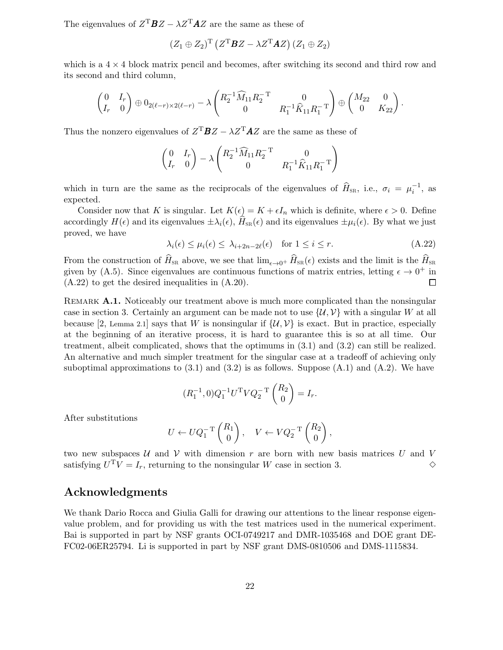The eigenvalues of  $Z^{T}BZ - \lambda Z^{T}AZ$  are the same as these of

$$
(Z_1 \oplus Z_2)^{\mathrm{T}} \left( Z^{\mathrm{T}} \boldsymbol{B} Z - \lambda Z^{\mathrm{T}} \boldsymbol{A} Z \right) (Z_1 \oplus Z_2)
$$

which is a  $4 \times 4$  block matrix pencil and becomes, after switching its second and third row and its second and third column,

$$
\begin{pmatrix} 0 & I_r \ I_r & 0 \end{pmatrix} \oplus 0_{2(\ell-r)\times 2(\ell-r)} - \lambda \begin{pmatrix} R_2^{-1} \widehat{M}_{11} R_2^{-T} & 0 \\ 0 & R_1^{-1} \widehat{K}_{11} R_1^{-T} \end{pmatrix} \oplus \begin{pmatrix} M_{22} & 0 \\ 0 & K_{22} \end{pmatrix}.
$$

Thus the nonzero eigenvalues of  $Z^{T}BZ - \lambda Z^{T}AZ$  are the same as these of

$$
\begin{pmatrix} 0 & I_r \\ I_r & 0 \end{pmatrix} - \lambda \begin{pmatrix} R_2^{-1} \widehat{M}_{11} R_2^{-\mathsf{T}} & 0 \\ 0 & R_1^{-1} \widehat{K}_{11} R_1^{-\mathsf{T}} \end{pmatrix}
$$

which in turn are the same as the reciprocals of the eigenvalues of  $\hat{H}_{SR}$ , i.e.,  $\sigma_i = \mu_i^{-1}$ , as expected.

Consider now that K is singular. Let  $K(\epsilon) = K + \epsilon I_n$  which is definite, where  $\epsilon > 0$ . Define accordingly  $H(\epsilon)$  and its eigenvalues  $\pm \lambda_i(\epsilon)$ ,  $H_{\text{SR}}(\epsilon)$  and its eigenvalues  $\pm \mu_i(\epsilon)$ . By what we just proved, we have

$$
\lambda_i(\epsilon) \le \mu_i(\epsilon) \le \lambda_{i+2n-2\ell}(\epsilon) \quad \text{for } 1 \le i \le r. \tag{A.22}
$$

From the construction of  $\widehat{H}_{SR}$  above, we see that  $\lim_{\epsilon \to 0^+} \widehat{H}_{SR}(\epsilon)$  exists and the limit is the  $\widehat{H}_{SR}$ given by (A.5). Since eigenvalues are continuous functions of matrix entries, letting  $\epsilon \to 0^+$  in (A.22) to get the desired inequalities in (A.20).  $\Box$ 

REMARK A.1. Noticeably our treatment above is much more complicated than the nonsingular case in section 3. Certainly an argument can be made not to use  $\{\mathcal{U}, \mathcal{V}\}\$  with a singular W at all because [2, Lemma 2.1] says that W is nonsingular if  $\{U, V\}$  is exact. But in practice, especially at the beginning of an iterative process, it is hard to guarantee this is so at all time. Our treatment, albeit complicated, shows that the optimums in (3.1) and (3.2) can still be realized. An alternative and much simpler treatment for the singular case at a tradeoff of achieving only suboptimal approximations to  $(3.1)$  and  $(3.2)$  is as follows. Suppose  $(A.1)$  and  $(A.2)$ . We have

$$
(R_1^{-1}, 0)Q_1^{-1}U^{\mathrm{T}} V Q_2^{-\mathrm{T}} \begin{pmatrix} R_2 \\ 0 \end{pmatrix} = I_r.
$$

After substitutions

$$
U \leftarrow U Q_1^{-T} \begin{pmatrix} R_1 \\ 0 \end{pmatrix}, \quad V \leftarrow V Q_2^{-T} \begin{pmatrix} R_2 \\ 0 \end{pmatrix},
$$

two new subspaces  $U$  and  $V$  with dimension r are born with new basis matrices U and V satisfying  $U<sup>T</sup>V = I<sub>r</sub>$ , returning to the nonsingular W case in section 3.

### Acknowledgments

We thank Dario Rocca and Giulia Galli for drawing our attentions to the linear response eigenvalue problem, and for providing us with the test matrices used in the numerical experiment. Bai is supported in part by NSF grants OCI-0749217 and DMR-1035468 and DOE grant DE-FC02-06ER25794. Li is supported in part by NSF grant DMS-0810506 and DMS-1115834.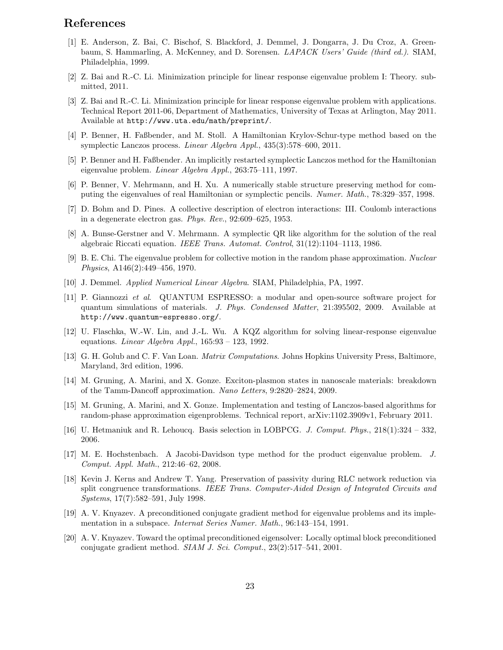## References

- [1] E. Anderson, Z. Bai, C. Bischof, S. Blackford, J. Demmel, J. Dongarra, J. Du Croz, A. Greenbaum, S. Hammarling, A. McKenney, and D. Sorensen. LAPACK Users' Guide (third ed.). SIAM, Philadelphia, 1999.
- [2] Z. Bai and R.-C. Li. Minimization principle for linear response eigenvalue problem I: Theory. submitted, 2011.
- [3] Z. Bai and R.-C. Li. Minimization principle for linear response eigenvalue problem with applications. Technical Report 2011-06, Department of Mathematics, University of Texas at Arlington, May 2011. Available at http://www.uta.edu/math/preprint/.
- [4] P. Benner, H. Faßbender, and M. Stoll. A Hamiltonian Krylov-Schur-type method based on the symplectic Lanczos process. Linear Algebra Appl., 435(3):578–600, 2011.
- [5] P. Benner and H. Faßbender. An implicitly restarted symplectic Lanczos method for the Hamiltonian eigenvalue problem. Linear Algebra Appl., 263:75–111, 1997.
- [6] P. Benner, V. Mehrmann, and H. Xu. A numerically stable structure preserving method for computing the eigenvalues of real Hamiltonian or symplectic pencils. Numer. Math., 78:329–357, 1998.
- [7] D. Bohm and D. Pines. A collective description of electron interactions: III. Coulomb interactions in a degenerate electron gas. Phys. Rev., 92:609–625, 1953.
- [8] A. Bunse-Gerstner and V. Mehrmann. A symplectic QR like algorithm for the solution of the real algebraic Riccati equation. IEEE Trans. Automat. Control, 31(12):1104–1113, 1986.
- [9] B. E. Chi. The eigenvalue problem for collective motion in the random phase approximation. Nuclear Physics, A146(2):449–456, 1970.
- [10] J. Demmel. Applied Numerical Linear Algebra. SIAM, Philadelphia, PA, 1997.
- [11] P. Giannozzi et al. QUANTUM ESPRESSO: a modular and open-source software project for quantum simulations of materials. J. Phys. Condensed Matter, 21:395502, 2009. Available at http://www.quantum-espresso.org/.
- [12] U. Flaschka, W.-W. Lin, and J.-L. Wu. A KQZ algorithm for solving linear-response eigenvalue equations. Linear Algebra Appl.,  $165:93 - 123$ , 1992.
- [13] G. H. Golub and C. F. Van Loan. Matrix Computations. Johns Hopkins University Press, Baltimore, Maryland, 3rd edition, 1996.
- [14] M. Gruning, A. Marini, and X. Gonze. Exciton-plasmon states in nanoscale materials: breakdown of the Tamm-Dancoff approximation. Nano Letters, 9:2820–2824, 2009.
- [15] M. Gruning, A. Marini, and X. Gonze. Implementation and testing of Lanczos-based algorithms for random-phase approximation eigenproblems. Technical report, arXiv:1102.3909v1, February 2011.
- [16] U. Hetmaniuk and R. Lehoucq. Basis selection in LOBPCG. J. Comput. Phys., 218(1):324 332, 2006.
- [17] M. E. Hochstenbach. A Jacobi-Davidson type method for the product eigenvalue problem. J. Comput. Appl. Math., 212:46–62, 2008.
- [18] Kevin J. Kerns and Andrew T. Yang. Preservation of passivity during RLC network reduction via split congruence transformations. IEEE Trans. Computer-Aided Design of Integrated Circuits and Systems, 17(7):582–591, July 1998.
- [19] A. V. Knyazev. A preconditioned conjugate gradient method for eigenvalue problems and its implementation in a subspace. Internat Series Numer. Math., 96:143–154, 1991.
- [20] A. V. Knyazev. Toward the optimal preconditioned eigensolver: Locally optimal block preconditioned conjugate gradient method.  $SIAM J. Sci. Comput., 23(2):517-541, 2001.$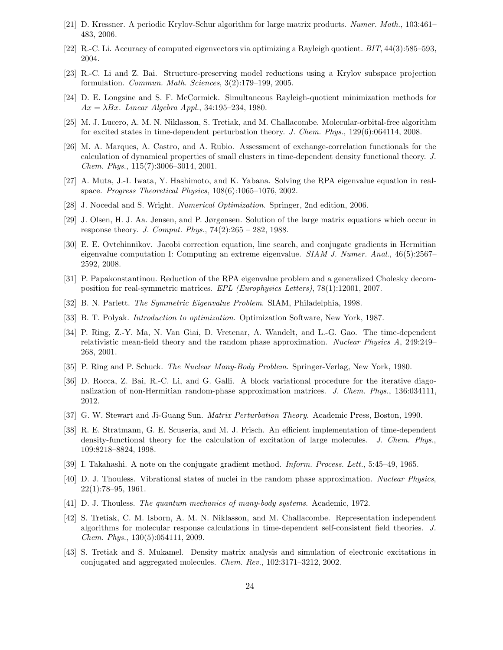- [21] D. Kressner. A periodic Krylov-Schur algorithm for large matrix products. Numer. Math., 103:461– 483, 2006.
- [22] R.-C. Li. Accuracy of computed eigenvectors via optimizing a Rayleigh quotient. BIT, 44(3):585–593, 2004.
- [23] R.-C. Li and Z. Bai. Structure-preserving model reductions using a Krylov subspace projection formulation. Commun. Math. Sciences, 3(2):179–199, 2005.
- [24] D. E. Longsine and S. F. McCormick. Simultaneous Rayleigh-quotient minimization methods for  $Ax = \lambda Bx$ . Linear Algebra Appl., 34:195–234, 1980.
- [25] M. J. Lucero, A. M. N. Niklasson, S. Tretiak, and M. Challacombe. Molecular-orbital-free algorithm for excited states in time-dependent perturbation theory. J. Chem. Phys., 129(6):064114, 2008.
- [26] M. A. Marques, A. Castro, and A. Rubio. Assessment of exchange-correlation functionals for the calculation of dynamical properties of small clusters in time-dependent density functional theory. J. Chem. Phys., 115(7):3006–3014, 2001.
- [27] A. Muta, J.-I. Iwata, Y. Hashimoto, and K. Yabana. Solving the RPA eigenvalue equation in realspace. Progress Theoretical Physics, 108(6):1065–1076, 2002.
- [28] J. Nocedal and S. Wright. Numerical Optimization. Springer, 2nd edition, 2006.
- [29] J. Olsen, H. J. Aa. Jensen, and P. Jørgensen. Solution of the large matrix equations which occur in response theory. J. Comput. Phys., 74(2):265 – 282, 1988.
- [30] E. E. Ovtchinnikov. Jacobi correction equation, line search, and conjugate gradients in Hermitian eigenvalue computation I: Computing an extreme eigenvalue. SIAM J. Numer. Anal., 46(5):2567– 2592, 2008.
- [31] P. Papakonstantinou. Reduction of the RPA eigenvalue problem and a generalized Cholesky decomposition for real-symmetric matrices. EPL (Europhysics Letters), 78(1):12001, 2007.
- [32] B. N. Parlett. The Symmetric Eigenvalue Problem. SIAM, Philadelphia, 1998.
- [33] B. T. Polyak. Introduction to optimization. Optimization Software, New York, 1987.
- [34] P. Ring, Z.-Y. Ma, N. Van Giai, D. Vretenar, A. Wandelt, and L.-G. Gao. The time-dependent relativistic mean-field theory and the random phase approximation. Nuclear Physics A, 249:249– 268, 2001.
- [35] P. Ring and P. Schuck. The Nuclear Many-Body Problem. Springer-Verlag, New York, 1980.
- [36] D. Rocca, Z. Bai, R.-C. Li, and G. Galli. A block variational procedure for the iterative diagonalization of non-Hermitian random-phase approximation matrices. J. Chem. Phys., 136:034111, 2012.
- [37] G. W. Stewart and Ji-Guang Sun. Matrix Perturbation Theory. Academic Press, Boston, 1990.
- [38] R. E. Stratmann, G. E. Scuseria, and M. J. Frisch. An efficient implementation of time-dependent density-functional theory for the calculation of excitation of large molecules. J. Chem. Phys., 109:8218–8824, 1998.
- [39] I. Takahashi. A note on the conjugate gradient method. Inform. Process. Lett., 5:45–49, 1965.
- [40] D. J. Thouless. Vibrational states of nuclei in the random phase approximation. Nuclear Physics, 22(1):78–95, 1961.
- [41] D. J. Thouless. The quantum mechanics of many-body systems. Academic, 1972.
- [42] S. Tretiak, C. M. Isborn, A. M. N. Niklasson, and M. Challacombe. Representation independent algorithms for molecular response calculations in time-dependent self-consistent field theories. J. Chem. Phys., 130(5):054111, 2009.
- [43] S. Tretiak and S. Mukamel. Density matrix analysis and simulation of electronic excitations in conjugated and aggregated molecules. Chem. Rev., 102:3171–3212, 2002.